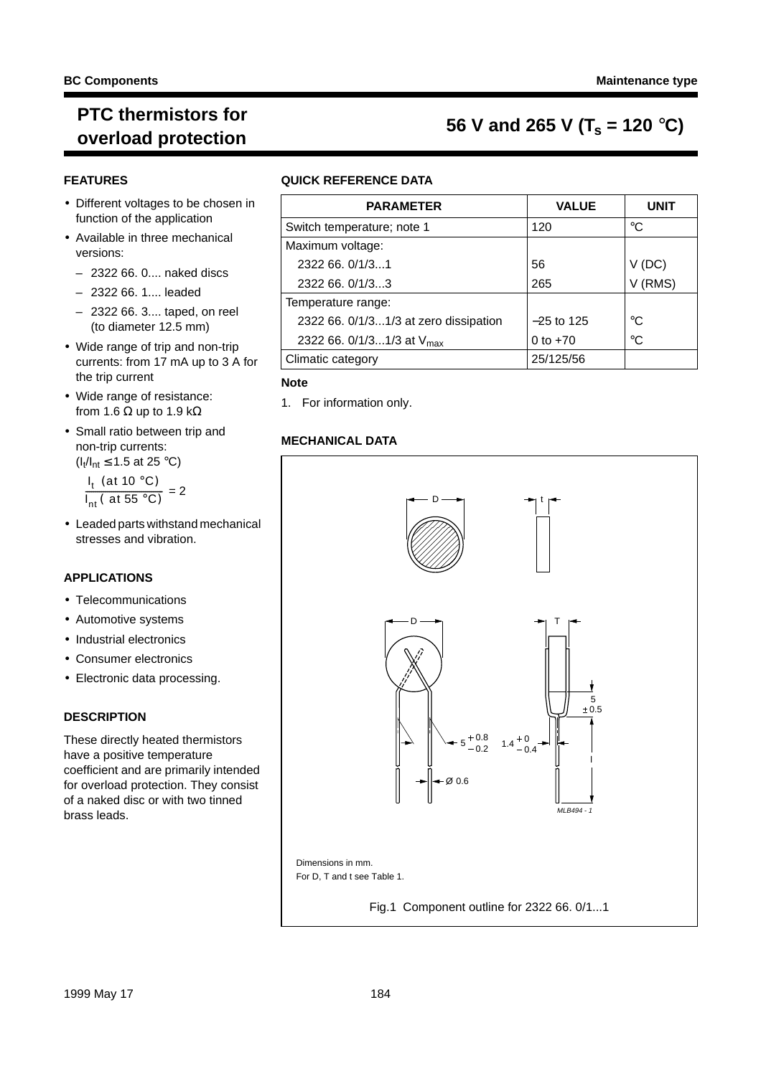#### **BC Components Maintenance type**

### **PTC thermistors for**  $\mathcal{F}$  is the missions for **56 V** and 265 V (T<sub>s</sub> = 120 °C)

#### **FEATURES**

- Different voltages to be chosen in function of the application
- Available in three mechanical versions:
	- 2322 66. 0.... naked discs
	- 2322 66. 1.... leaded
	- 2322 66. 3.... taped, on reel (to diameter 12.5 mm)
- Wide range of trip and non-trip currents: from 17 mA up to 3 A for the trip current
- Wide range of resistance: from 1.6  $\Omega$  up to 1.9 k $\Omega$
- Small ratio between trip and non-trip currents:  $(I_t/I_{nt}$  ≤ 1.5 at 25 °C)

l<sub>t</sub> (at 10 °C)  $\left( \frac{I_t \text{ (at 10 °C)}}{I_{nt} \text{ (at 55 °C)}} = 2 \right)$ 

• Leaded parts withstand mechanical stresses and vibration.

#### **APPLICATIONS**

- Telecommunications
- Automotive systems
- Industrial electronics
- Consumer electronics
- Electronic data processing.

#### **DESCRIPTION**

These directly heated thermistors have a positive temperature coefficient and are primarily intended for overload protection. They consist of a naked disc or with two tinned brass leads.

#### **QUICK REFERENCE DATA**

| <b>PARAMETER</b>                      | <b>VALUE</b> | <b>UNIT</b> |
|---------------------------------------|--------------|-------------|
| Switch temperature; note 1            | 120          | °C          |
| Maximum voltage:                      |              |             |
| 2322 66, 0/1/31                       | 56           | (DC)        |
| 2322 66, 0/1/33                       | 265          | (RMS)       |
| Temperature range:                    |              |             |
| 2322 66. 0/1/31/3 at zero dissipation | $-25$ to 125 | °C          |
| 2322 66. 0/1/31/3 at V <sub>max</sub> | 0 to $+70$   | $^{\circ}C$ |
| Climatic category                     | 25/125/56    |             |

#### **Note**

1. For information only.

#### **MECHANICAL DATA**

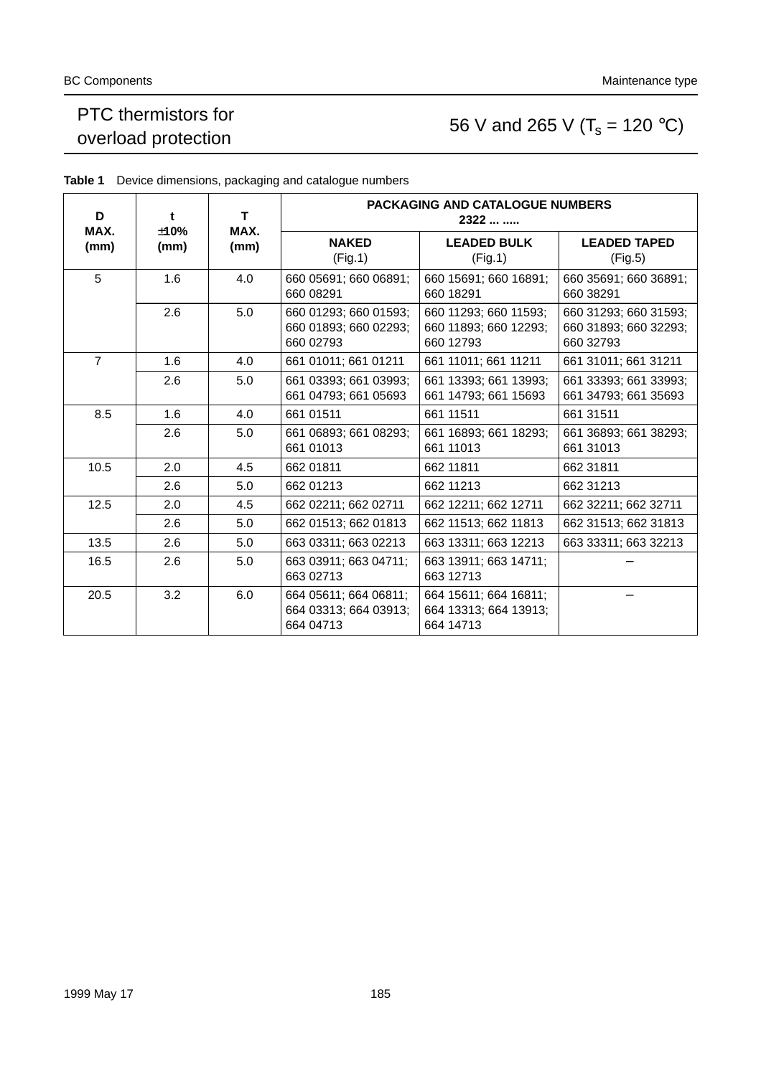### PTC thermistors for PTC mermistors for<br>overload protection 56 V and 265 V ( $T_s = 120 °C$ )

| D              | t                            | T.  | <b>PACKAGING AND CATALOGUE NUMBERS</b><br>2322              |                                                             |                                                             |  |  |  |
|----------------|------------------------------|-----|-------------------------------------------------------------|-------------------------------------------------------------|-------------------------------------------------------------|--|--|--|
| MAX.<br>(mm)   | ±10%<br>MAX.<br>(mm)<br>(mm) |     | <b>NAKED</b><br>(Fig.1)                                     | <b>LEADED BULK</b><br>(Fig.1)                               | <b>LEADED TAPED</b><br>(Fig.5)                              |  |  |  |
| 5              | 1.6                          | 4.0 | 660 05691; 660 06891;<br>660 08291                          | 660 15691; 660 16891;<br>660 18291                          | 660 35691; 660 36891;<br>660 38291                          |  |  |  |
|                | 2.6                          | 5.0 | 660 01293; 660 01593;<br>660 01893; 660 02293;<br>660 02793 | 660 11293; 660 11593;<br>660 11893; 660 12293;<br>660 12793 | 660 31293; 660 31593;<br>660 31893; 660 32293;<br>660 32793 |  |  |  |
| $\overline{7}$ | 1.6                          | 4.0 | 661 01011; 661 01211                                        | 661 11011; 661 11211                                        | 661 31011; 661 31211                                        |  |  |  |
|                | 2.6                          | 5.0 | 661 03393; 661 03993;<br>661 04793; 661 05693               | 661 13393; 661 13993;<br>661 14793; 661 15693               | 661 33393; 661 33993;<br>661 34793; 661 35693               |  |  |  |
| 8.5            | 1.6                          | 4.0 | 661 01511                                                   | 661 11511                                                   | 661 31511                                                   |  |  |  |
|                | 2.6                          | 5.0 | 661 06893; 661 08293;<br>661 01013                          | 661 16893; 661 18293;<br>661 11013                          | 661 36893; 661 38293;<br>661 31013                          |  |  |  |
| 10.5           | 2.0                          | 4.5 | 662 01811                                                   | 662 11811                                                   | 662 31811                                                   |  |  |  |
|                | 2.6                          | 5.0 | 662 01213                                                   | 662 11213                                                   | 662 31213                                                   |  |  |  |
| 12.5           | 2.0                          | 4.5 | 662 02211; 662 02711                                        | 662 12211; 662 12711                                        | 662 32211; 662 32711                                        |  |  |  |
|                | 2.6                          | 5.0 | 662 01513; 662 01813                                        | 662 11513; 662 11813                                        | 662 31513; 662 31813                                        |  |  |  |
| 13.5           | 2.6                          | 5.0 | 663 03311; 663 02213                                        | 663 13311; 663 12213                                        | 663 33311; 663 32213                                        |  |  |  |
| 16.5           | 2.6                          | 5.0 | 663 03911; 663 04711;<br>663 02713                          | 663 13911; 663 14711;<br>663 12713                          |                                                             |  |  |  |
| 20.5           | 3.2                          | 6.0 | 664 05611; 664 06811;<br>664 03313; 664 03913;<br>664 04713 | 664 15611; 664 16811;<br>664 13313; 664 13913;<br>664 14713 |                                                             |  |  |  |

**Table 1** Device dimensions, packaging and catalogue numbers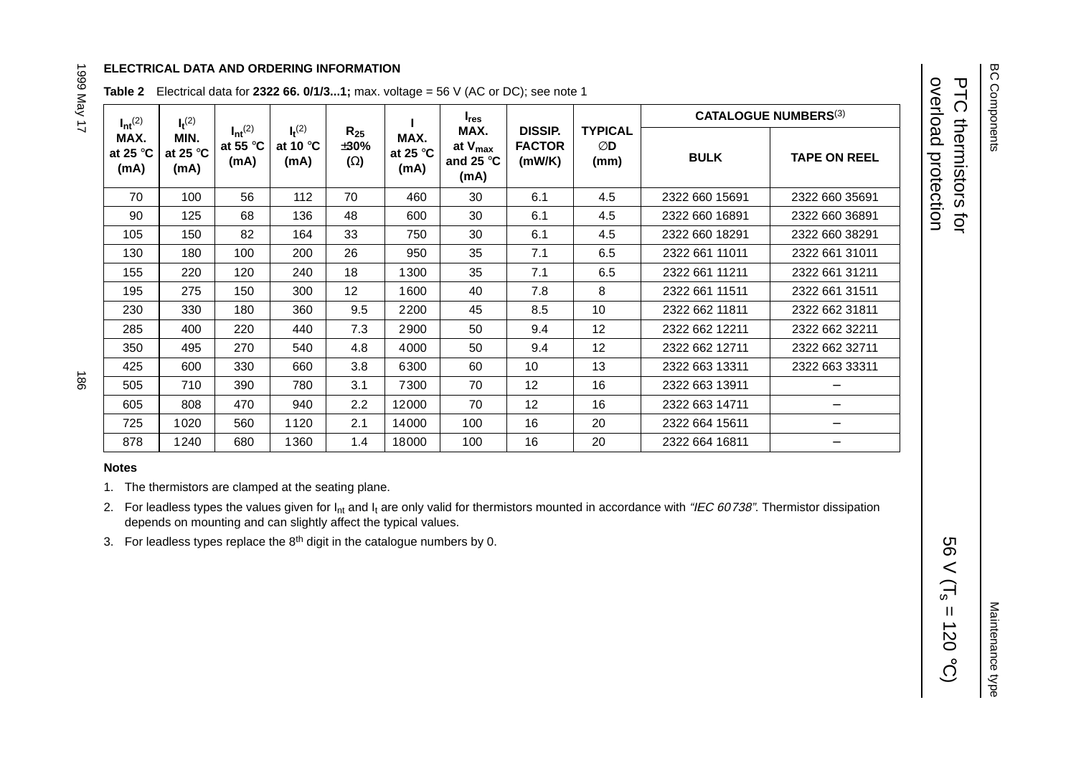#### **ELECTRICAL DATA AND ORDERING INFORMATION**

| $I_{nt}^{(2)}$                    | $I_t^{(2)}$                       |                                                      |                                          |                                      |                                   | $I_{res}$                                          |                                           |                              | <b>CATALOGUE NUMBERS</b> (3) |                     |
|-----------------------------------|-----------------------------------|------------------------------------------------------|------------------------------------------|--------------------------------------|-----------------------------------|----------------------------------------------------|-------------------------------------------|------------------------------|------------------------------|---------------------|
| MAX.<br>at 25 $\degree$ C<br>(mA) | MIN.<br>at 25 $\degree$ C<br>(mA) | $I_{nt}$ <sup>(2)</sup><br>at 55 $\degree$ C<br>(mA) | $I_t^{(2)}$<br>at 10 $\degree$ C<br>(mA) | $R_{25}$<br>$\pm 30\%$<br>$(\Omega)$ | MAX.<br>at 25 $\degree$ C<br>(mA) | MAX.<br>at $V_{max}$<br>and 25 $\degree$ C<br>(mA) | <b>DISSIP.</b><br><b>FACTOR</b><br>(mW/K) | <b>TYPICAL</b><br>ØD<br>(mm) | <b>BULK</b>                  | <b>TAPE ON REEL</b> |
| 70                                | 100                               | 56                                                   | 112                                      | 70                                   | 460                               | 30                                                 | 6.1                                       | 4.5                          | 2322 660 15691               | 2322 660 35691      |
| 90                                | 125                               | 68                                                   | 136                                      | 48                                   | 600                               | 30                                                 | 6.1                                       | 4.5                          | 2322 660 16891               | 2322 660 36891      |
| 105                               | 150                               | 82                                                   | 164                                      | 33                                   | 750                               | 30                                                 | 6.1                                       | 4.5                          | 2322 660 18291               | 2322 660 38291      |
| 130                               | 180                               | 100                                                  | 200                                      | 26                                   | 950                               | 35                                                 | 7.1                                       | 6.5                          | 2322 661 11011               | 2322 661 31011      |
| 155                               | 220                               | 120                                                  | 240                                      | 18                                   | 1300                              | 35                                                 | 7.1                                       | 6.5                          | 2322 661 11211               | 2322 661 31211      |
| 195                               | 275                               | 150                                                  | 300                                      | 12                                   | 1600                              | 40                                                 | 7.8                                       | 8                            | 2322 661 11511               | 2322 661 31511      |
| 230                               | 330                               | 180                                                  | 360                                      | 9.5                                  | 2200                              | 45                                                 | 8.5                                       | 10                           | 2322 662 11811               | 2322 662 31811      |
| 285                               | 400                               | 220                                                  | 440                                      | 7.3                                  | 2900                              | 50                                                 | 9.4                                       | 12                           | 2322 662 12211               | 2322 662 32211      |
| 350                               | 495                               | 270                                                  | 540                                      | 4.8                                  | 4000                              | 50                                                 | 9.4                                       | 12                           | 2322 662 12711               | 2322 662 32711      |
| 425                               | 600                               | 330                                                  | 660                                      | 3.8                                  | 6300                              | 60                                                 | 10                                        | 13                           | 2322 663 13311               | 2322 663 33311      |
| 505                               | 710                               | 390                                                  | 780                                      | 3.1                                  | 7300                              | 70                                                 | 12                                        | 16                           | 2322 663 13911               |                     |
| 605                               | 808                               | 470                                                  | 940                                      | 2.2                                  | 12000                             | 70                                                 | 12                                        | 16                           | 2322 663 14711               |                     |
| 725                               | 1020                              | 560                                                  | 1120                                     | 2.1                                  | 14000                             | 100                                                | 16                                        | 20                           | 2322 664 15611               |                     |
| 878                               | 1240                              | 680                                                  | 1360                                     | 1.4                                  | 18000                             | 100                                                | 16                                        | 20                           | 2322 664 16811               |                     |

#### **Table 2** Electrical data for **2322 66. 0/1/3...1;** max. voltage <sup>=</sup> 56 V (AC or DC); see note 1

981

1999 May 17

#### **Notes**

1. The thermistors are clamped at the seating plane.

- 2. For leadless types the values given for  $I_{nt}$  and  $I_t$  are only valid for thermistors mounted in accordance with "IEC 60738". Thermistor dissipation depends on mounting and can slightly affect the typical values.
- 3. For leadless types replace the  $8<sup>th</sup>$  digit in the catalogue numbers by 0.

overload protection PTC thermistors for

overload protection **PTC thermistors for** 

56 V (T<sub>s</sub> = 120

 $\ensuremath{\mathsf{II}}$ 

 $\sim$  (T<sub>s</sub>

99

 $(30.02)$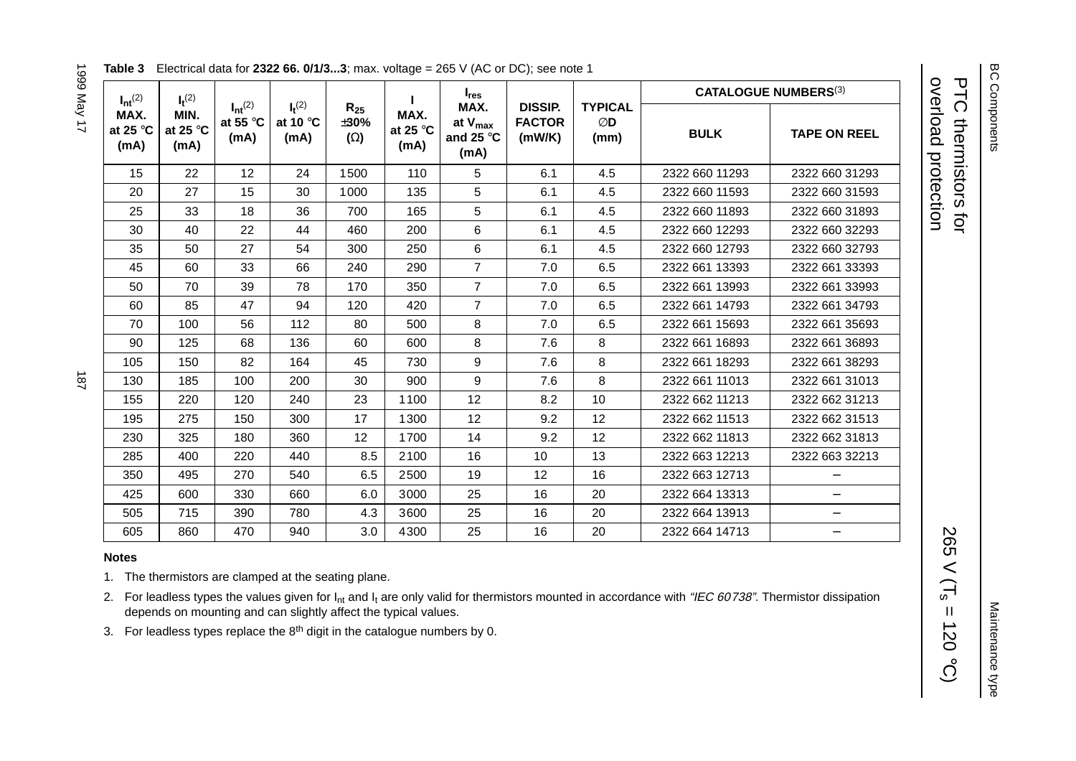**BC Components** BC Components

overload protection overload protection PTC thermistors for PTC thermistors for

**CATALOGUE NUMBERS**(3)

Maintenance type

Maintenance type

| $I_{nt}$ <sup>(2)</sup>           | $I_t^{(2)}$                       |                                    |                                          |                                |                                   | $I_{res}$                                                 |                                                                           |     | <b>CATALOGUE NUMBERS</b> (3) |                     |
|-----------------------------------|-----------------------------------|------------------------------------|------------------------------------------|--------------------------------|-----------------------------------|-----------------------------------------------------------|---------------------------------------------------------------------------|-----|------------------------------|---------------------|
| MAX.<br>at 25 $\degree$ C<br>(mA) | MIN.<br>at 25 $\degree$ C<br>(mA) | $I_{nt}^{(2)}$<br>at 55 °C<br>(mA) | $I_t^{(2)}$<br>at 10 $\degree$ C<br>(mA) | $R_{25}$<br>±30%<br>$(\Omega)$ | MAX.<br>at 25 $\degree$ C<br>(mA) | MAX.<br>at V <sub>max</sub><br>and 25 $\degree$ C<br>(mA) | <b>DISSIP.</b><br><b>TYPICAL</b><br><b>FACTOR</b><br>ØD<br>(mW/K)<br>(mm) |     | <b>BULK</b>                  | <b>TAPE ON REEL</b> |
| 15                                | 22                                | 12                                 | 24                                       | 1500                           | 110                               | 5                                                         | 6.1                                                                       | 4.5 | 2322 660 11293               | 2322 660 31293      |
| 20                                | 27                                | 15                                 | 30                                       | 1000                           | 135                               | 5                                                         | 6.1                                                                       | 4.5 | 2322 660 11593               | 2322 660 31593      |
| 25                                | 33                                | 18                                 | 36                                       | 700                            | 165                               | 5                                                         | 6.1                                                                       | 4.5 | 2322 660 11893               | 2322 660 31893      |
| 30                                | 40                                | 22                                 | 44                                       | 460                            | 200                               | 6                                                         | 6.1                                                                       | 4.5 | 2322 660 12293               | 2322 660 32293      |
| 35                                | 50                                | 27                                 | 54                                       | 300                            | 250                               | 6                                                         | 6.1                                                                       | 4.5 | 2322 660 12793               | 2322 660 32793      |
| 45                                | 60                                | 33                                 | 66                                       | 240                            | 290                               | $\overline{7}$                                            | 7.0                                                                       | 6.5 | 2322 661 13393               | 2322 661 33393      |
| 50                                | 70                                | 39                                 | 78                                       | 170                            | 350                               | $\overline{7}$                                            | 7.0                                                                       | 6.5 | 2322 661 13993               | 2322 661 33993      |
| 60                                | 85                                | 47                                 | 94                                       | 120                            | 420                               | $\overline{7}$                                            | 7.0                                                                       | 6.5 | 2322 661 14793               | 2322 661 34793      |
| 70                                | 100                               | 56                                 | 112                                      | 80                             | 500                               | 8                                                         | 7.0                                                                       | 6.5 | 2322 661 15693               | 2322 661 35693      |
| 90                                | 125                               | 68                                 | 136                                      | 60                             | 600                               | 8                                                         | 7.6                                                                       | 8   | 2322 661 16893               | 2322 661 36893      |
| 105                               | 150                               | 82                                 | 164                                      | 45                             | 730                               | 9                                                         | 7.6                                                                       | 8   | 2322 661 18293               | 2322 661 38293      |
| 130                               | 185                               | 100                                | 200                                      | 30                             | 900                               | 9                                                         | 7.6                                                                       | 8   | 2322 661 11013               | 2322 661 31013      |
| 155                               | 220                               | 120                                | 240                                      | 23                             | 1100                              | 12                                                        | 8.2                                                                       | 10  | 2322 662 11213               | 2322 662 31213      |
| 195                               | 275                               | 150                                | 300                                      | 17                             | 1300                              | 12                                                        | 9.2                                                                       | 12  | 2322 662 11513               | 2322 662 31513      |
| 230                               | 325                               | 180                                | 360                                      | 12                             | 1700                              | 14                                                        | 9.2                                                                       | 12  | 2322 662 11813               | 2322 662 31813      |
| 285                               | 400                               | 220                                | 440                                      | 8.5                            | 2100                              | 16                                                        | 10                                                                        | 13  | 2322 663 12213               | 2322 663 32213      |
| 350                               | 495                               | 270                                | 540                                      | 6.5                            | 2500                              | 19                                                        | 12                                                                        | 16  | 2322 663 12713               |                     |
| 425                               | 600                               | 330                                | 660                                      | 6.0                            | 3000                              | 25                                                        | 16                                                                        | 20  | 2322 664 13313               | $\qquad \qquad -$   |
| 505                               | 715                               | 390                                | 780                                      | 4.3                            | 3600                              | 25                                                        | 16                                                                        | 20  | 2322 664 13913               | $\qquad \qquad -$   |
| 605                               | 860                               | 470                                | 940                                      | 3.0                            | 4300                              | 25                                                        | 16                                                                        | 20  | 2322 664 14713               |                     |

#### **Table 3** Electrical data for **2322 66. 0/1/3...3**; max. voltage <sup>=</sup> 265 V (AC or DC); see note 1

#### **Notes**

1. The thermistors are clamped at the seating plane.

2. For leadless types the values given for  $I_{nt}$  and  $I_t$  are only valid for thermistors mounted in accordance with "IEC 60738". Thermistor dissipation depends on mounting and can slightly affect the typical values.

3. For leadless types replace the  $8<sup>th</sup>$  digit in the catalogue numbers by 0.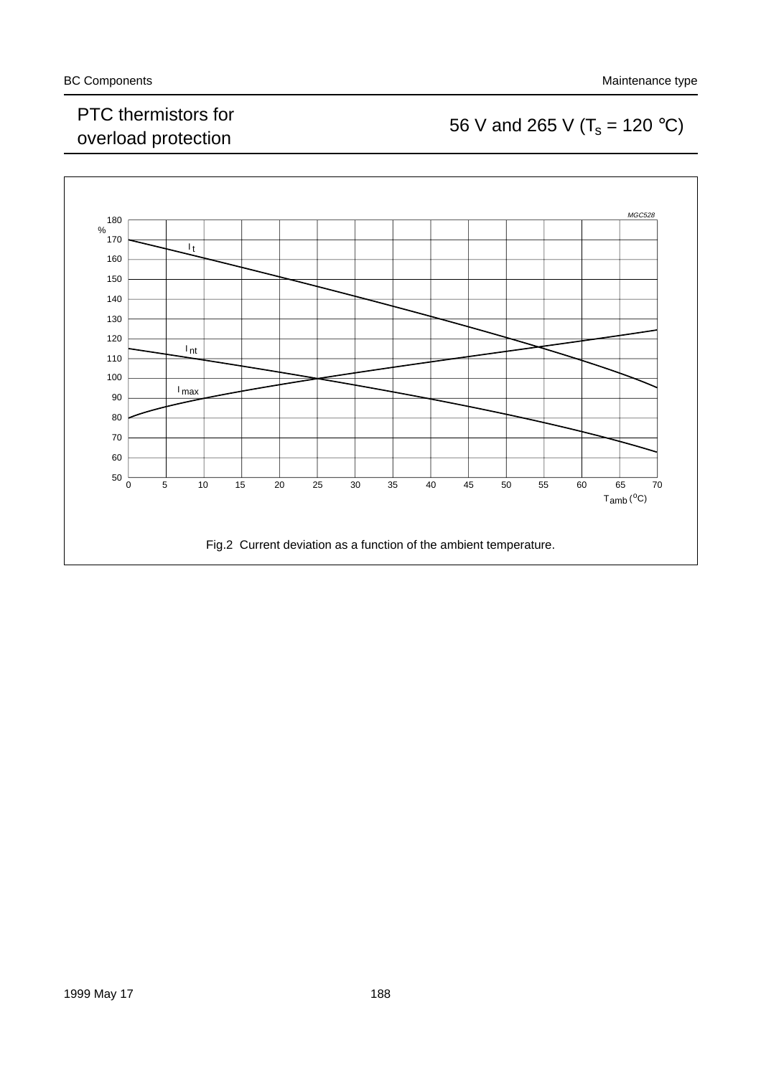#### PTC thermistors for PTC thermistors for<br>overload protection 56 V and 265 V ( $T_s$  = 120 °C)

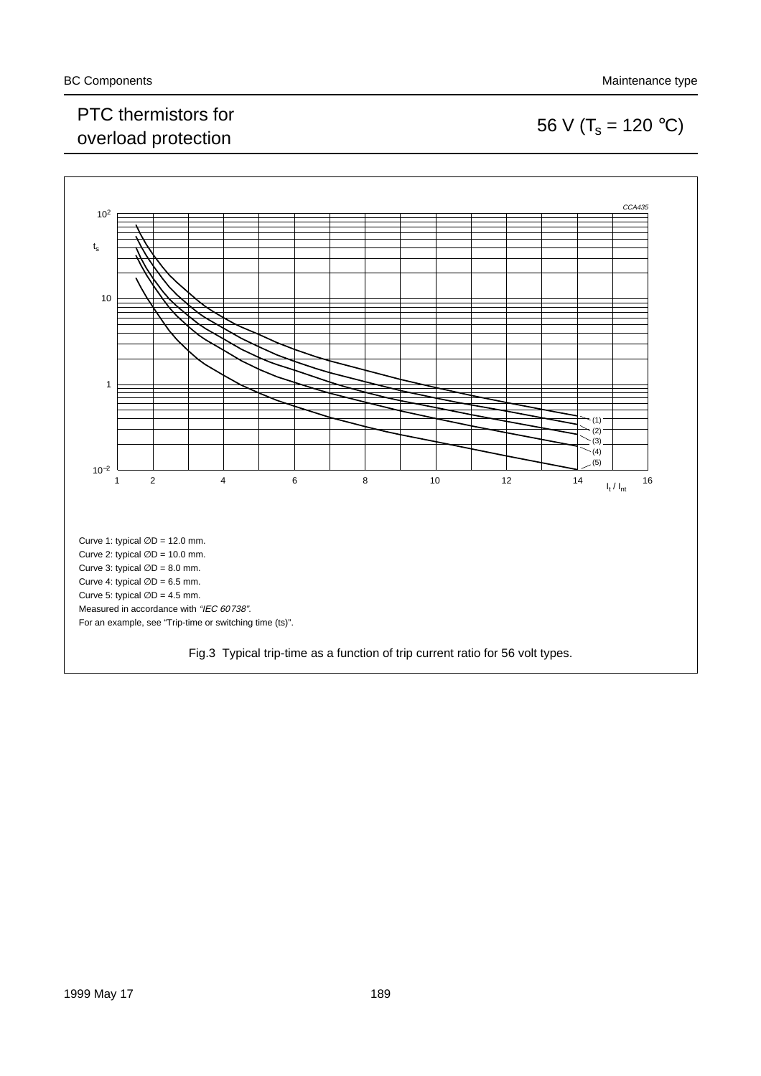### PTC thermistors for PTC thermistors for<br>overload protection 56 V ( $T_s = 120 °C$ )



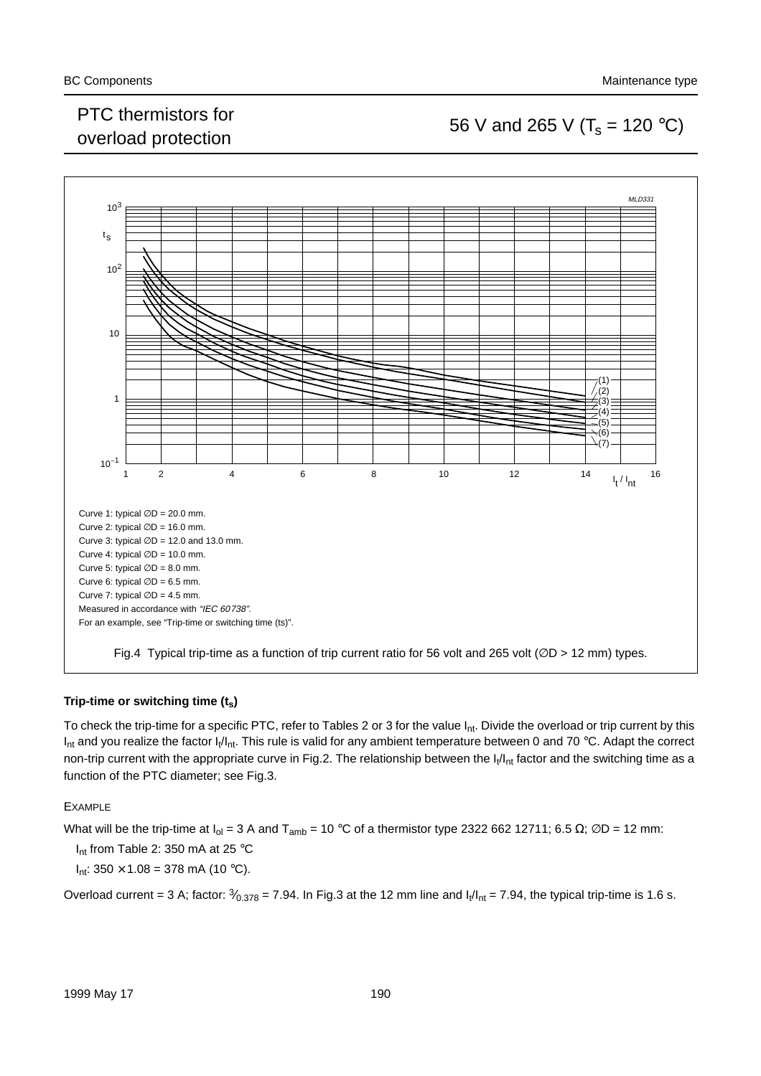### PTC trieffilistics for<br>overload protection 56 V and 265 V ( $T_s$  = 120 °C)



#### Trip-time or switching time (t<sub>s</sub>)

To check the trip-time for a specific PTC, refer to Tables 2 or 3 for the value  $I_{nt}$ . Divide the overload or trip current by this  $I_{nt}$  and you realize the factor  $I_t/I_{nt}$ . This rule is valid for any ambient temperature between 0 and 70 °C. Adapt the correct non-trip current with the appropriate curve in Fig.2. The relationship between the  $I_1/I_{nt}$  factor and the switching time as a function of the PTC diameter; see Fig.3.

#### EXAMPLE

What will be the trip-time at  $I_{ol} = 3$  A and T<sub>amb</sub> = 10 °C of a thermistor type 2322 662 12711; 6.5  $\Omega$ ;  $\emptyset$ D = 12 mm:

I<sub>nt</sub> from Table 2: 350 mA at 25 °C

 $I_{nt}$ : 350  $\times$  1.08 = 378 mA (10 °C).

Overload current = 3 A; factor:  $\frac{3}{0.378}$  = 7.94. In Fig.3 at the 12 mm line and  $I_1/I_{nt}$  = 7.94, the typical trip-time is 1.6 s.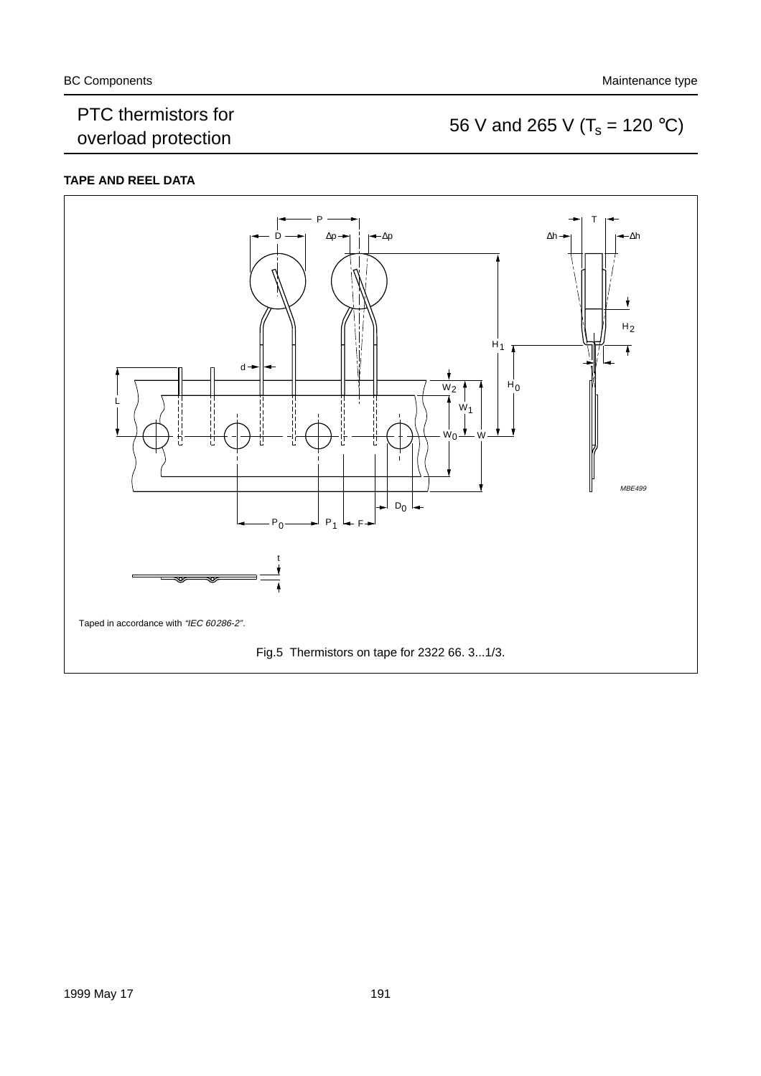#### PTC thermistors for PTC thermistors for<br>overload protection 56 V and 265 V ( $T_s$  = 120 °C)

#### **TAPE AND REEL DATA**

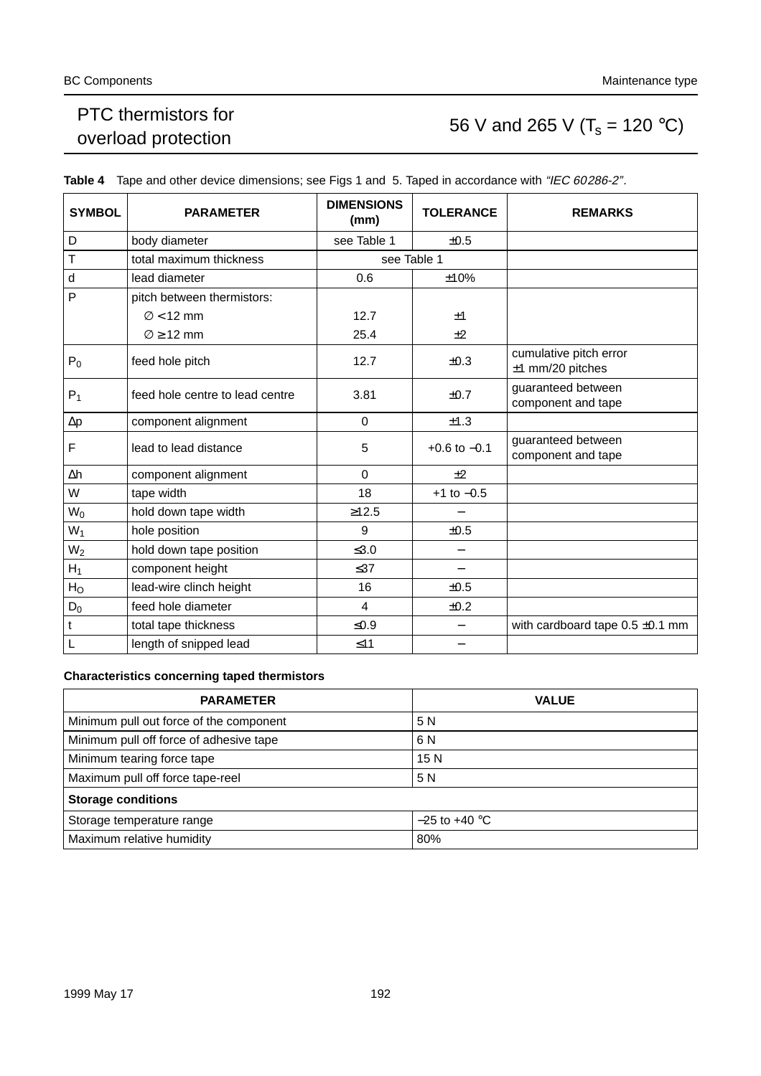### PTC thermistors for PTC mermistors for<br>overload protection 56 V and 265 V ( $T_s = 120 °C$ )

| <b>SYMBOL</b>       | <b>PARAMETER</b>                | <b>DIMENSIONS</b><br>(mm) | <b>TOLERANCE</b>         | <b>REMARKS</b>                               |
|---------------------|---------------------------------|---------------------------|--------------------------|----------------------------------------------|
| D                   | body diameter                   | see Table 1               | ±0.5                     |                                              |
| Т                   | total maximum thickness         | see Table 1               |                          |                                              |
| d                   | lead diameter                   | 0.6                       | ±10%                     |                                              |
| P                   | pitch between thermistors:      |                           |                          |                                              |
|                     | $\varnothing$ < 12 mm           | 12.7                      | ±1                       |                                              |
|                     | $\varnothing$ $\geq$ 12 mm      | 25.4                      | ±2                       |                                              |
| $P_0$               | feed hole pitch                 | 12.7                      | $\pm 0.3$                | cumulative pitch error<br>$±1$ mm/20 pitches |
| $P_1$               | feed hole centre to lead centre | 3.81                      | ±0.7                     | guaranteed between<br>component and tape     |
| $\Delta \textsf{p}$ | component alignment             | $\Omega$                  | ±1.3                     |                                              |
| F                   | lead to lead distance           | 5                         | $+0.6$ to $-0.1$         | guaranteed between<br>component and tape     |
| Δh                  | component alignment             | $\Omega$                  | ±2                       |                                              |
| W                   | tape width                      | 18                        | $+1$ to $-0.5$           |                                              |
| $W_0$               | hold down tape width            | $\geq 12.5$               |                          |                                              |
| $W_1$               | hole position                   | 9                         | ±0.5                     |                                              |
| $W_2$               | hold down tape position         | $≤3.0$                    | $\overline{\phantom{m}}$ |                                              |
| $H_1$               | component height                | $\leq$ 37                 |                          |                                              |
| H <sub>O</sub>      | lead-wire clinch height         | 16                        | ±0.5                     |                                              |
| $D_0$               | feed hole diameter              | $\overline{4}$            | ±0.2                     |                                              |
| t                   | total tape thickness            | $≤0.9$                    |                          | with cardboard tape $0.5 \pm 0.1$ mm         |
|                     | length of snipped lead          | $≤11$                     |                          |                                              |

Table 4 Tape and other device dimensions; see Figs 1 and 5. Taped in accordance with "IEC 60286-2".

#### **Characteristics concerning taped thermistors**

| <b>PARAMETER</b>                        | <b>VALUE</b>    |
|-----------------------------------------|-----------------|
| Minimum pull out force of the component | 5 N             |
| Minimum pull off force of adhesive tape | 6 N             |
| Minimum tearing force tape              | 15N             |
| Maximum pull off force tape-reel        | 5 N             |
| <b>Storage conditions</b>               |                 |
| Storage temperature range               | $-25$ to +40 °C |
| Maximum relative humidity               | 80%             |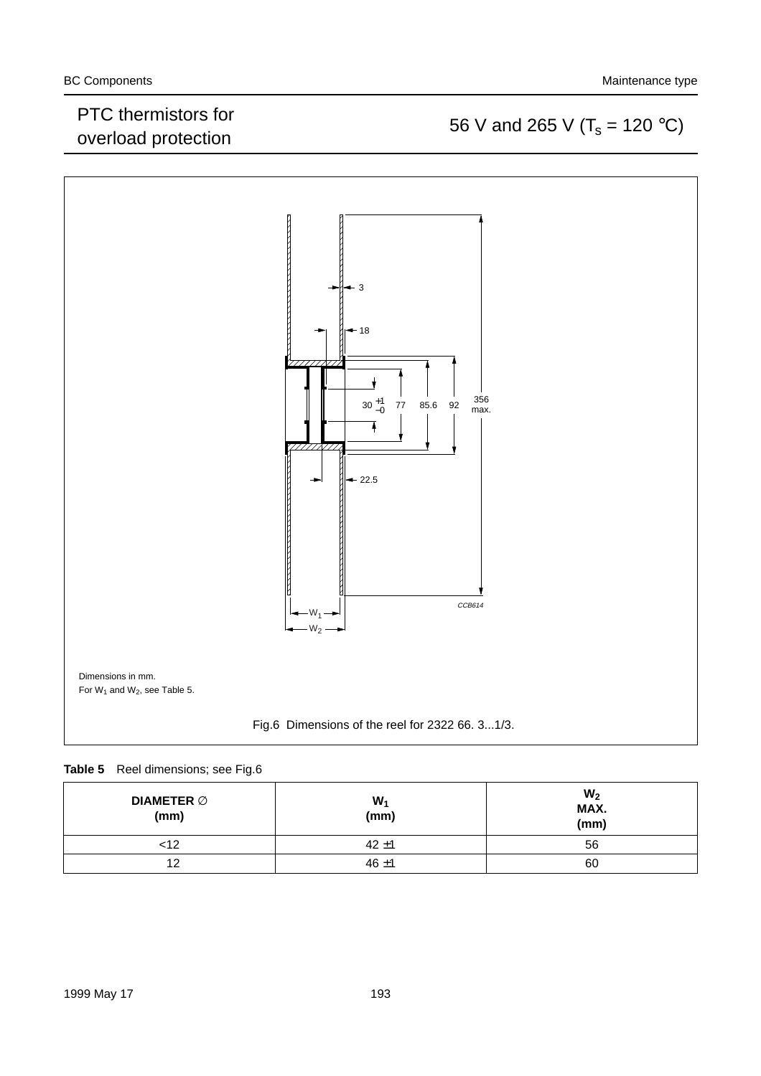#### PTC thermistors for PTC mermistors for<br>overload protection 56 V and 265 V ( $T_s = 120 °C$ )



#### **Table 5** Reel dimensions; see Fig.6

| DIAMETER $\varnothing$<br>(mm) | $W_1$<br>(mm) | W <sub>2</sub><br>MAX.<br>(mm) |
|--------------------------------|---------------|--------------------------------|
| <12                            | $42 + 1$      | 56                             |
| 12                             | $46 + 1$      | 60                             |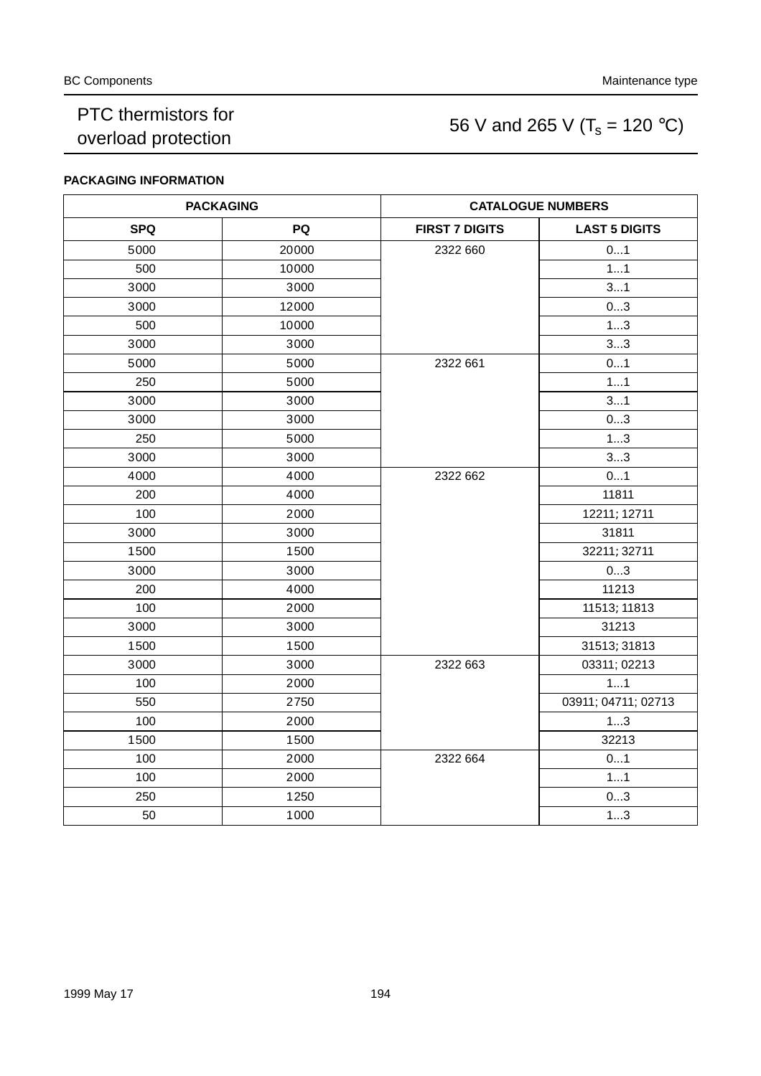### PTC thermistors for PTC thermistors for<br>overload protection 56 V and 265 V ( $T_s$  = 120 °C)

#### **PACKAGING INFORMATION**

| <b>PACKAGING</b> |       | <b>CATALOGUE NUMBERS</b> |                      |  |
|------------------|-------|--------------------------|----------------------|--|
| <b>SPQ</b>       | PQ    | <b>FIRST 7 DIGITS</b>    | <b>LAST 5 DIGITS</b> |  |
| 5000             | 20000 | 2322 660                 | 01                   |  |
| 500              | 10000 |                          | 11                   |  |
| 3000             | 3000  |                          | 31                   |  |
| 3000             | 12000 |                          | 03                   |  |
| 500              | 10000 |                          | 13                   |  |
| 3000             | 3000  |                          | 33                   |  |
| 5000             | 5000  | 2322 661                 | 01                   |  |
| 250              | 5000  |                          | 11                   |  |
| 3000             | 3000  |                          | 31                   |  |
| 3000             | 3000  |                          | 03                   |  |
| 250              | 5000  |                          | 13                   |  |
| 3000             | 3000  |                          | 33                   |  |
| 4000             | 4000  | 2322 662                 | 01                   |  |
| 200              | 4000  |                          | 11811                |  |
| 100              | 2000  |                          | 12211; 12711         |  |
| 3000             | 3000  |                          | 31811                |  |
| 1500             | 1500  |                          | 32211; 32711         |  |
| 3000             | 3000  |                          | 03                   |  |
| 200              | 4000  |                          | 11213                |  |
| 100              | 2000  |                          | 11513; 11813         |  |
| 3000             | 3000  |                          | 31213                |  |
| 1500             | 1500  |                          | 31513; 31813         |  |
| 3000             | 3000  | 2322 663                 | 03311; 02213         |  |
| 100              | 2000  |                          | 11                   |  |
| 550              | 2750  |                          | 03911; 04711; 02713  |  |
| 100              | 2000  |                          | 13                   |  |
| 1500             | 1500  |                          | 32213                |  |
| 100              | 2000  | 2322 664                 | 01                   |  |
| 100              | 2000  |                          | 11                   |  |
| 250              | 1250  |                          | 03                   |  |
| 50               | 1000  |                          | 13                   |  |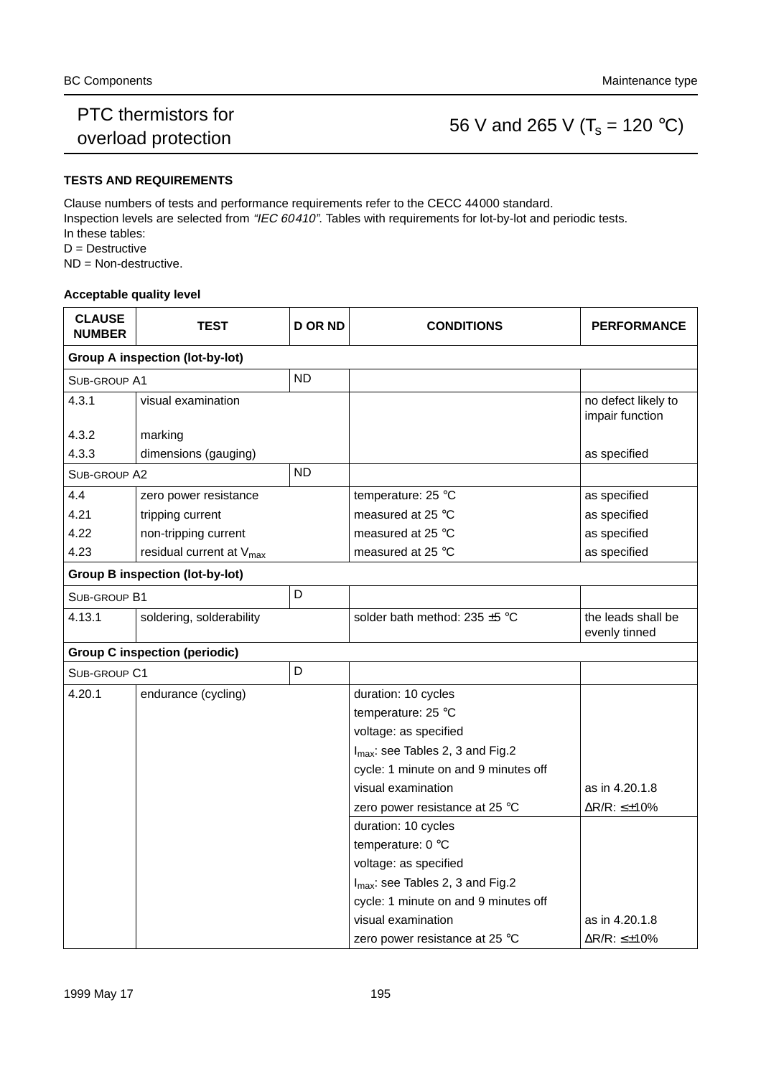#### PTC thermistors for PTC mermistors for<br>overload protection 56 V and 265 V ( $T_s$  = 120 °C)

#### **TESTS AND REQUIREMENTS**

Clause numbers of tests and performance requirements refer to the CECC 44000 standard. Inspection levels are selected from "IEC 60410". Tables with requirements for lot-by-lot and periodic tests. In these tables: D = Destructive

ND = Non-destructive.

#### **Acceptable quality level**

| <b>CLAUSE</b><br><b>NUMBER</b> | TEST                                   | <b>D OR ND</b> | <b>CONDITIONS</b>                            | <b>PERFORMANCE</b>                     |
|--------------------------------|----------------------------------------|----------------|----------------------------------------------|----------------------------------------|
|                                | <b>Group A inspection (lot-by-lot)</b> |                |                                              |                                        |
| SUB-GROUP A1                   |                                        | <b>ND</b>      |                                              |                                        |
| 4.3.1                          | visual examination                     |                |                                              | no defect likely to<br>impair function |
| 4.3.2                          | marking                                |                |                                              |                                        |
| 4.3.3                          | dimensions (gauging)                   |                |                                              | as specified                           |
| SUB-GROUP A2                   |                                        | <b>ND</b>      |                                              |                                        |
| 4.4                            | zero power resistance                  |                | temperature: 25 °C                           | as specified                           |
| 4.21                           | tripping current                       |                | measured at 25 °C                            | as specified                           |
| 4.22                           | non-tripping current                   |                | measured at 25 °C                            | as specified                           |
| 4.23                           | residual current at V <sub>max</sub>   |                | measured at 25 °C                            | as specified                           |
|                                | <b>Group B inspection (lot-by-lot)</b> |                |                                              |                                        |
| SUB-GROUP B1                   |                                        | D              |                                              |                                        |
| 4.13.1                         | soldering, solderability               |                | solder bath method: 235 $\pm$ 5 °C           | the leads shall be<br>evenly tinned    |
|                                | <b>Group C inspection (periodic)</b>   |                |                                              |                                        |
| SUB-GROUP C1                   |                                        | D              |                                              |                                        |
| 4.20.1                         | endurance (cycling)                    |                | duration: 10 cycles                          |                                        |
|                                |                                        |                | temperature: 25 °C                           |                                        |
|                                |                                        |                | voltage: as specified                        |                                        |
|                                |                                        |                | I <sub>max</sub> : see Tables 2, 3 and Fig.2 |                                        |
|                                |                                        |                | cycle: 1 minute on and 9 minutes off         |                                        |
|                                |                                        |                | visual examination                           | as in 4.20.1.8                         |
|                                |                                        |                | zero power resistance at 25 °C               | $\Delta$ R/R: $\leq \pm 10\%$          |
|                                |                                        |                | duration: 10 cycles                          |                                        |
|                                |                                        |                | temperature: 0 °C                            |                                        |
|                                |                                        |                | voltage: as specified                        |                                        |
|                                |                                        |                | I <sub>max</sub> : see Tables 2, 3 and Fig.2 |                                        |
|                                |                                        |                | cycle: 1 minute on and 9 minutes off         |                                        |
|                                |                                        |                | visual examination                           | as in 4.20.1.8                         |
|                                |                                        |                | zero power resistance at 25 °C               | ∆R/R: ≤±10%                            |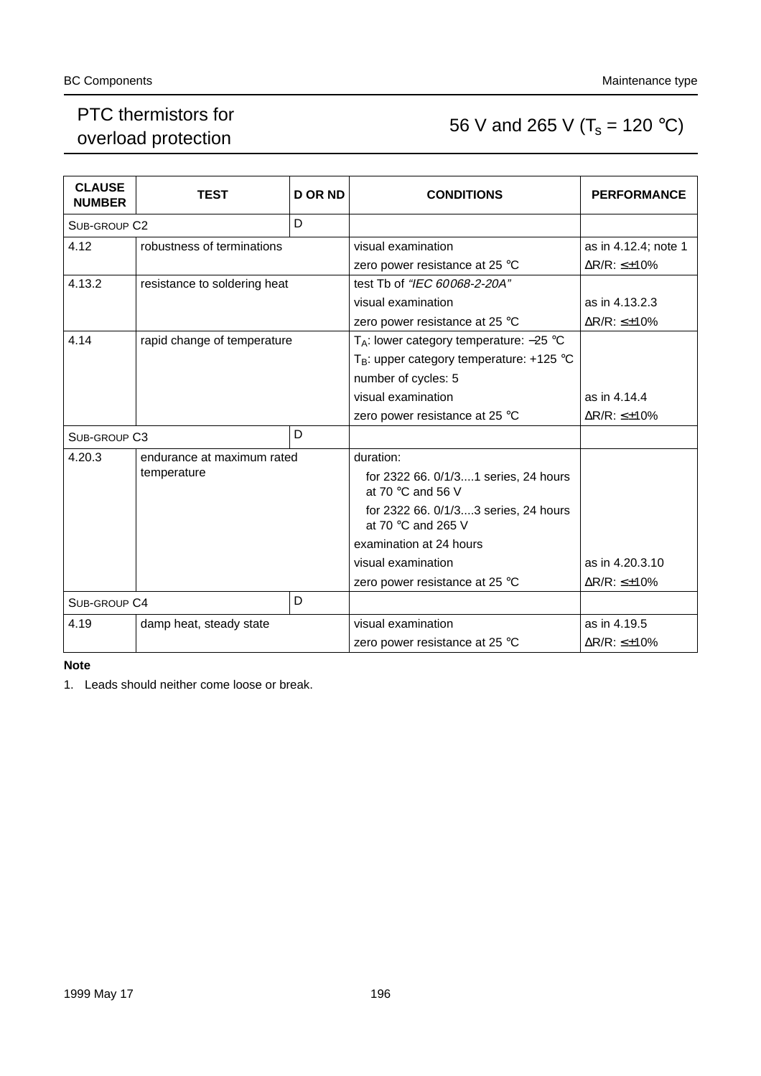### PTC thermistors for PTC thermistors for<br>overload protection 56 V and 265 V ( $T_s$  = 120 °C)

| <b>CLAUSE</b><br><b>NUMBER</b> | <b>TEST</b>                  | <b>DORND</b>                   | <b>CONDITIONS</b>                                                  | <b>PERFORMANCE</b>            |  |
|--------------------------------|------------------------------|--------------------------------|--------------------------------------------------------------------|-------------------------------|--|
| SUB-GROUP C <sub>2</sub>       |                              | D                              |                                                                    |                               |  |
| 4.12                           | robustness of terminations   |                                | visual examination                                                 | as in 4.12.4; note 1          |  |
|                                |                              |                                | zero power resistance at 25 °C                                     | $\Delta$ R/R: $\leq \pm 10\%$ |  |
| 4.13.2                         | resistance to soldering heat |                                | test Tb of "IEC 60068-2-20A"                                       |                               |  |
|                                |                              |                                | visual examination                                                 | as in 4.13.2.3                |  |
|                                |                              |                                | zero power resistance at 25 $\degree$ C                            | $\Delta$ R/R: $\leq \pm 10\%$ |  |
| 4.14                           | rapid change of temperature  |                                | $T_A$ : lower category temperature: -25 °C                         |                               |  |
|                                |                              |                                | $T_B$ : upper category temperature: +125 °C                        |                               |  |
|                                |                              |                                | number of cycles: 5                                                |                               |  |
|                                |                              |                                | visual examination                                                 | as in 4.14.4                  |  |
|                                |                              |                                | zero power resistance at 25 °C                                     | $\Delta$ R/R: $\leq \pm 10\%$ |  |
| SUB-GROUP C3                   |                              | D                              |                                                                    |                               |  |
| 4.20.3                         | endurance at maximum rated   |                                | duration:                                                          |                               |  |
|                                | temperature                  |                                | for 2322 66. 0/1/31 series, 24 hours<br>at 70 $\degree$ C and 56 V |                               |  |
|                                |                              |                                | for 2322 66. 0/1/33 series, 24 hours<br>at 70 °C and 265 V         |                               |  |
|                                |                              |                                | examination at 24 hours                                            |                               |  |
|                                |                              |                                | visual examination                                                 | as in 4.20.3.10               |  |
|                                |                              | zero power resistance at 25 °C | $\Delta$ R/R: $\leq \pm 10\%$                                      |                               |  |
| SUB-GROUP C4                   |                              | D                              |                                                                    |                               |  |
| 4.19                           | damp heat, steady state      |                                | visual examination                                                 | as in 4.19.5                  |  |
|                                |                              |                                | zero power resistance at 25 $\degree$ C                            | $\Delta$ R/R: $\leq \pm 10\%$ |  |

#### **Note**

1. Leads should neither come loose or break.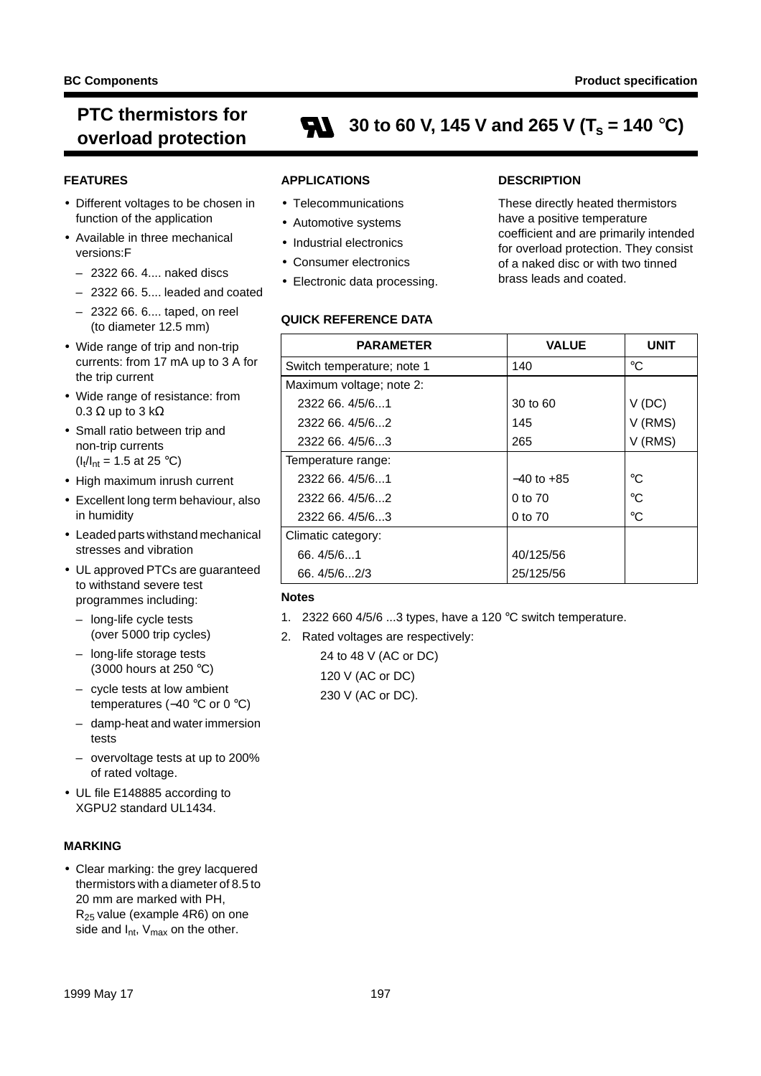### **PTC thermistors for b** overload protection **and**  $\sum_{i=1}^{n}$  **30 to 60 V, 145 V and 265 V (T<sub>s</sub> = 140 °C)**

#### **FEATURES**

- Different voltages to be chosen in function of the application
- Available in three mechanical versions:F
	- 2322 66. 4.... naked discs
	- 2322 66. 5.... leaded and coated
	- 2322 66. 6.... taped, on reel (to diameter 12.5 mm)
- Wide range of trip and non-trip currents: from 17 mA up to 3 A for the trip current
- Wide range of resistance: from 0.3  $\Omega$  up to 3 k $\Omega$
- Small ratio between trip and non-trip currents  $(I_t/I_{nt} = 1.5 \text{ at } 25 \text{ °C})$
- High maximum inrush current
- Excellent long term behaviour, also in humidity
- Leaded parts withstand mechanical stresses and vibration
- UL approved PTCs are guaranteed to withstand severe test programmes including:
	- long-life cycle tests (over 5000 trip cycles)
	- long-life storage tests (3000 hours at 250 °C)
	- cycle tests at low ambient temperatures (-40 °C or 0 °C)
	- damp-heat and water immersion tests
	- overvoltage tests at up to 200% of rated voltage.
- UL file E148885 according to XGPU2 standard UL1434.

#### **MARKING**

• Clear marking: the grey lacquered thermistors with a diameter of 8.5 to 20 mm are marked with PH, R25 value (example 4R6) on one side and  $I_{nt}$ ,  $V_{max}$  on the other.

#### **APPLICATIONS**

- Telecommunications
- Automotive systems
- Industrial electronics
- Consumer electronics
- Electronic data processing.

#### **QUICK REFERENCE DATA**

#### **DESCRIPTION**

These directly heated thermistors have a positive temperature coefficient and are primarily intended for overload protection. They consist of a naked disc or with two tinned brass leads and coated.

| <b>PARAMETER</b>           | <b>VALUE</b>   | <b>UNIT</b> |
|----------------------------|----------------|-------------|
| Switch temperature; note 1 | 140            | $^{\circ}C$ |
| Maximum voltage; note 2:   |                |             |
| 2322 66, 4/5/61            | 30 to 60       | V(DC)       |
| 2322 66, 4/5/62            | 145            | V (RMS)     |
| 2322 66, 4/5/63            | 265            | V (RMS)     |
| Temperature range:         |                |             |
| 2322 66. 4/5/61            | $-40$ to $+85$ | $^{\circ}C$ |
| 2322 66, 4/5/62            | 0 to 70        | $^{\circ}C$ |
| 2322 66, 4/5/63            | 0 to 70        | $^{\circ}C$ |
| Climatic category:         |                |             |
| 66.4/5/61                  | 40/125/56      |             |
| 66.4/5/62/3                | 25/125/56      |             |

#### **Notes**

- 1. 2322 660 4/5/6 ...3 types, have a 120 °C switch temperature.
- 2. Rated voltages are respectively:

24 to 48 V (AC or DC) 120 V (AC or DC) 230 V (AC or DC).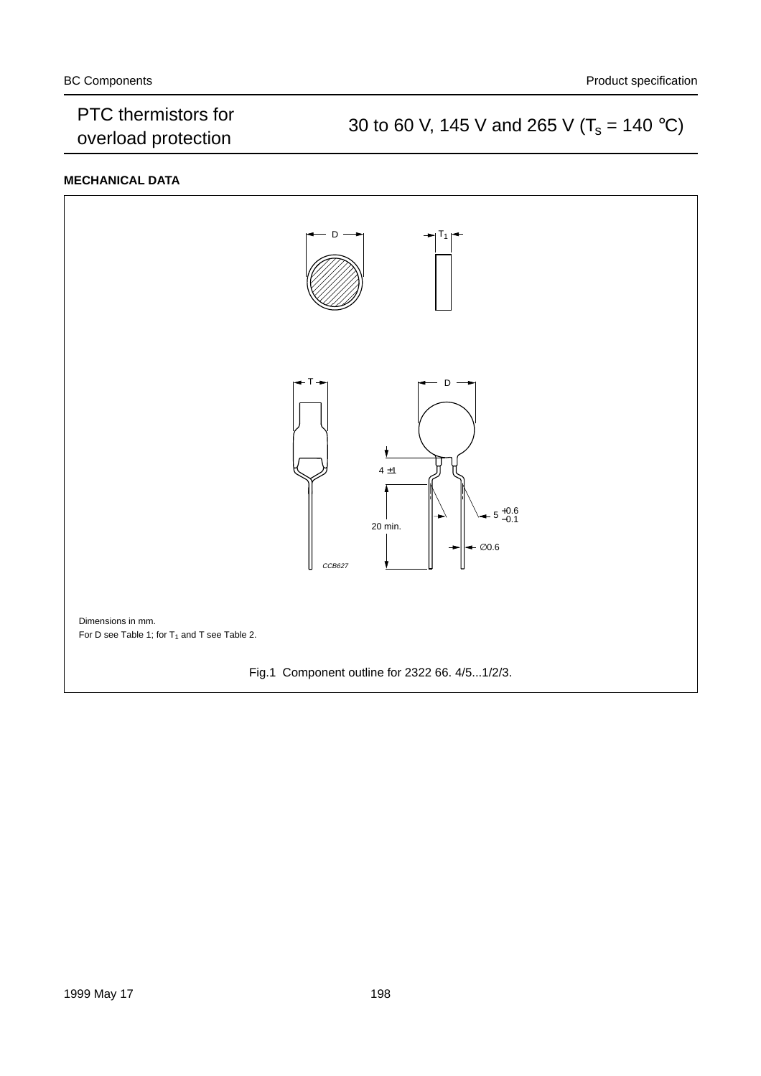### PTC thermistors for<br>
30 to 60 V, 145 V and 265 V ( $T_s = 140 \degree C$ )<br>
30 to 60 V, 145 V and 265 V ( $T_s = 140 \degree C$ )

#### **MECHANICAL DATA**

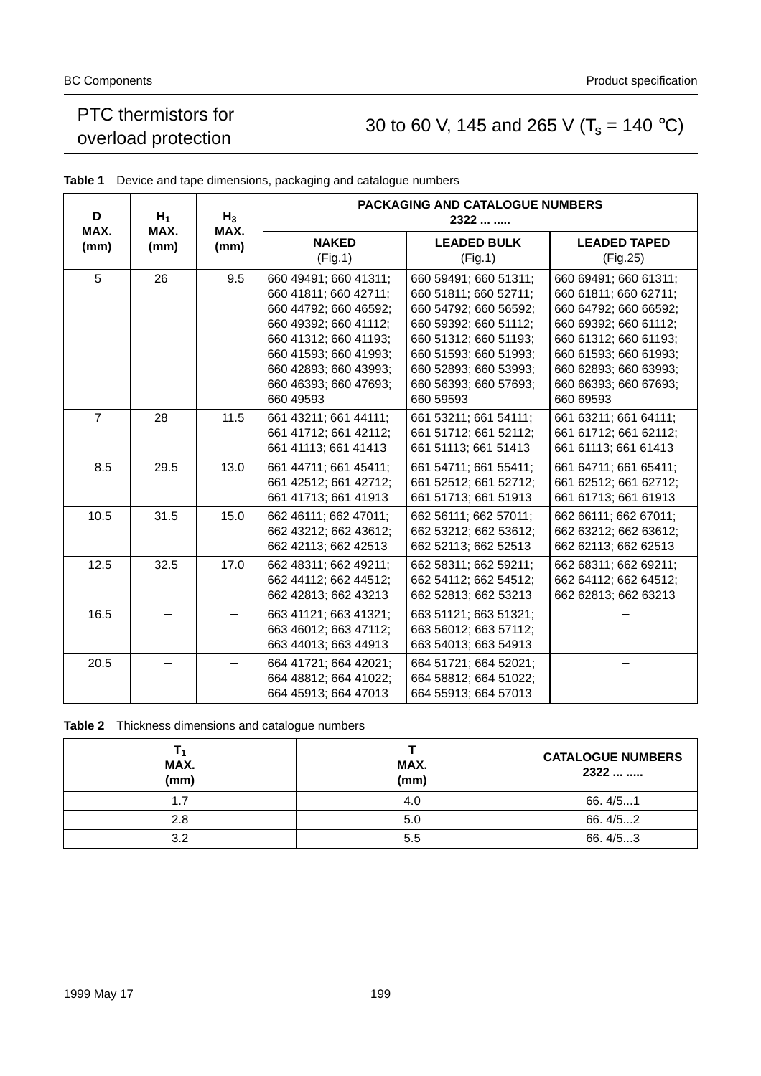### PTC mermistors for<br>
30 to 60 V, 145 and 265 V ( $T_s = 140 \degree C$ )<br>
30 to 60 V, 145 and 265 V ( $T_s = 140 \degree C$ )

| D<br>MAX.      | $H_1$<br>MAX. | $H_3$<br>MAX. |                                                                                                                                                                                                                   | <b>PACKAGING AND CATALOGUE NUMBERS</b><br>2322                                                                                                                                                                    |                                                                                                                                                                                                                   |
|----------------|---------------|---------------|-------------------------------------------------------------------------------------------------------------------------------------------------------------------------------------------------------------------|-------------------------------------------------------------------------------------------------------------------------------------------------------------------------------------------------------------------|-------------------------------------------------------------------------------------------------------------------------------------------------------------------------------------------------------------------|
| (mm)<br>(mm)   |               | (mm)          | <b>NAKED</b><br>(Fig.1)                                                                                                                                                                                           | <b>LEADED BULK</b><br>(Fig.1)                                                                                                                                                                                     | <b>LEADED TAPED</b><br>(Fig.25)                                                                                                                                                                                   |
| 5              | 26            | 9.5           | 660 49491; 660 41311;<br>660 41811; 660 42711;<br>660 44792; 660 46592;<br>660 49392; 660 41112;<br>660 41312; 660 41193;<br>660 41593; 660 41993;<br>660 42893; 660 43993;<br>660 46393; 660 47693;<br>660 49593 | 660 59491; 660 51311;<br>660 51811; 660 52711;<br>660 54792; 660 56592;<br>660 59392; 660 51112;<br>660 51312; 660 51193;<br>660 51593; 660 51993;<br>660 52893; 660 53993;<br>660 56393; 660 57693;<br>660 59593 | 660 69491; 660 61311;<br>660 61811; 660 62711;<br>660 64792; 660 66592;<br>660 69392; 660 61112;<br>660 61312; 660 61193;<br>660 61593; 660 61993;<br>660 62893; 660 63993;<br>660 66393; 660 67693;<br>660 69593 |
| $\overline{7}$ | 28            | 11.5          | 661 43211; 661 44111;<br>661 41712; 661 42112;<br>661 41113; 661 41413                                                                                                                                            | 661 53211; 661 54111;<br>661 51712; 661 52112;<br>661 51113; 661 51413                                                                                                                                            | 661 63211; 661 64111;<br>661 61712; 661 62112;<br>661 61113; 661 61413                                                                                                                                            |
| 8.5            | 29.5          | 13.0          | 661 44711; 661 45411;<br>661 42512; 661 42712;<br>661 41713; 661 41913                                                                                                                                            | 661 54711; 661 55411;<br>661 52512; 661 52712;<br>661 51713; 661 51913                                                                                                                                            | 661 64711; 661 65411;<br>661 62512; 661 62712;<br>661 61713; 661 61913                                                                                                                                            |
| 10.5           | 31.5          | 15.0          | 662 46111; 662 47011;<br>662 43212; 662 43612;<br>662 42113; 662 42513                                                                                                                                            | 662 56111; 662 57011;<br>662 53212; 662 53612;<br>662 52113; 662 52513                                                                                                                                            | 662 66111; 662 67011;<br>662 63212; 662 63612;<br>662 62113; 662 62513                                                                                                                                            |
| 12.5           | 32.5          | 17.0          | 662 48311; 662 49211;<br>662 44112; 662 44512;<br>662 42813; 662 43213                                                                                                                                            | 662 58311; 662 59211;<br>662 54112; 662 54512;<br>662 52813; 662 53213                                                                                                                                            | 662 68311; 662 69211;<br>662 64112; 662 64512;<br>662 62813; 662 63213                                                                                                                                            |
| 16.5           |               |               | 663 41121; 663 41321;<br>663 46012; 663 47112;<br>663 44013; 663 44913                                                                                                                                            | 663 51121; 663 51321;<br>663 56012; 663 57112;<br>663 54013; 663 54913                                                                                                                                            |                                                                                                                                                                                                                   |
| 20.5           |               |               | 664 41721; 664 42021;<br>664 48812; 664 41022;<br>664 45913; 664 47013                                                                                                                                            | 664 51721; 664 52021;<br>664 58812; 664 51022;<br>664 55913; 664 57013                                                                                                                                            |                                                                                                                                                                                                                   |

**Table 1** Device and tape dimensions, packaging and catalogue numbers

**Table 2** Thickness dimensions and catalogue numbers

| MAX.<br>(mm) | MAX.<br>(mm) | <b>CATALOGUE NUMBERS</b><br>2322 |
|--------------|--------------|----------------------------------|
| 1.7          | 4.0          | 66.4/51                          |
| 2.8          | 5.0          | 66.4/52                          |
| 3.2          | 5.5          | 66.4/5.3                         |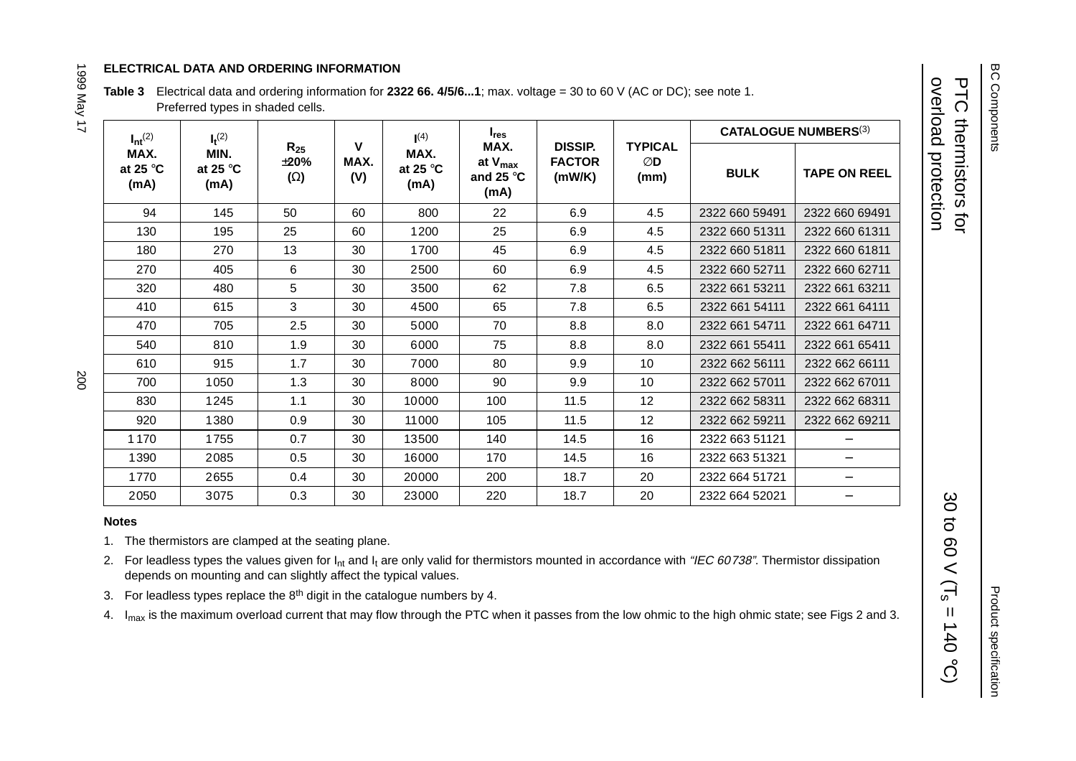#### **ELECTRICAL DATA AND ORDERING INFORMATION**

**Table 3** Electrical data and ordering information for **2322 66. 4/5/6...1**; max. voltage <sup>=</sup> 30 to 60 V (AC or DC); see note 1. Preferred types in shaded cells.

| $I_{nt}$ <sup>(2)</sup>           | $I_t^{(2)}$                       |                                      |                  | (4)                               | $I_{res}$                                          |                                           |                              |                | <b>CATALOGUE NUMBERS(3)</b> |
|-----------------------------------|-----------------------------------|--------------------------------------|------------------|-----------------------------------|----------------------------------------------------|-------------------------------------------|------------------------------|----------------|-----------------------------|
| MAX.<br>at 25 $\degree$ C<br>(mA) | MIN.<br>at 25 $\degree$ C<br>(mA) | $R_{25}$<br>$\pm 20\%$<br>$(\Omega)$ | V<br>MAX.<br>(V) | MAX.<br>at 25 $\degree$ C<br>(mA) | MAX.<br>at $V_{max}$<br>and 25 $\degree$ C<br>(mA) | <b>DISSIP.</b><br><b>FACTOR</b><br>(mW/K) | <b>TYPICAL</b><br>ØD<br>(mm) | <b>BULK</b>    | <b>TAPE ON REEL</b>         |
| 94                                | 145                               | 50                                   | 60               | 800                               | 22                                                 | 6.9                                       | 4.5                          | 2322 660 59491 | 2322 660 69491              |
| 130                               | 195                               | 25                                   | 60               | 1200                              | 25                                                 | 6.9                                       | 4.5                          | 2322 660 51311 | 2322 660 61311              |
| 180                               | 270                               | 13                                   | 30               | 1700                              | 45                                                 | 6.9                                       | 4.5                          | 2322 660 51811 | 2322 660 61811              |
| 270                               | 405                               | 6                                    | 30               | 2500                              | 60                                                 | 6.9                                       | 4.5                          | 2322 660 52711 | 2322 660 62711              |
| 320                               | 480                               | 5                                    | 30               | 3500                              | 62                                                 | 7.8                                       | 6.5                          | 2322 661 53211 | 2322 661 63211              |
| 410                               | 615                               | 3                                    | 30               | 4500                              | 65                                                 | 7.8                                       | 6.5                          | 2322 661 54111 | 2322 661 64111              |
| 470                               | 705                               | 2.5                                  | 30               | 5000                              | 70                                                 | 8.8                                       | 8.0                          | 2322 661 54711 | 2322 661 64711              |
| 540                               | 810                               | 1.9                                  | 30               | 6000                              | 75                                                 | 8.8                                       | 8.0                          | 2322 661 55411 | 2322 661 65411              |
| 610                               | 915                               | 1.7                                  | 30               | 7000                              | 80                                                 | 9.9                                       | 10                           | 2322 662 56111 | 2322 662 66111              |
| 700                               | 1050                              | 1.3                                  | 30               | 8000                              | 90                                                 | 9.9                                       | 10                           | 2322 662 57011 | 2322 662 67011              |
| 830                               | 1245                              | 1.1                                  | 30               | 10000                             | 100                                                | 11.5                                      | 12                           | 2322 662 58311 | 2322 662 68311              |
| 920                               | 1380                              | 0.9                                  | 30               | 11000                             | 105                                                | 11.5                                      | 12                           | 2322 662 59211 | 2322 662 69211              |
| 1170                              | 1755                              | 0.7                                  | 30               | 13500                             | 140                                                | 14.5                                      | 16                           | 2322 663 51121 |                             |
| 1390                              | 2085                              | 0.5                                  | 30               | 16000                             | 170                                                | 14.5                                      | 16                           | 2322 663 51321 |                             |
| 1770                              | 2655                              | 0.4                                  | 30               | 20000                             | 200                                                | 18.7                                      | 20                           | 2322 664 51721 |                             |
| 2050                              | 3075                              | 0.3                                  | 30               | 23000                             | 220                                                | 18.7                                      | 20                           | 2322 664 52021 |                             |

#### **Notes**

1. The thermistors are clamped at the seating plane.

2. For leadless types the values given for  $I_{nt}$  and  $I_t$  are only valid for thermistors mounted in accordance with "IEC 60738". Thermistor dissipation depends on mounting and can slightly affect the typical values.

3. For leadless types replace the  $8<sup>th</sup>$  digit in the catalogue numbers by 4.

4. I<sub>max</sub> is the maximum overload current that may flow through the PTC when it passes from the low ohmic to the high ohmic state; see Figs 2 and 3.

overload protection PTC thermistors for

overload protection

**PTC** 

thermistors for

30 to 60  $\text{V}$  (T<sub>s</sub> = 140

 $\ensuremath{\mathsf{II}}$ 

30 to 60 V (T<sub>s</sub>

 $(3.01)$ 

1999 May 17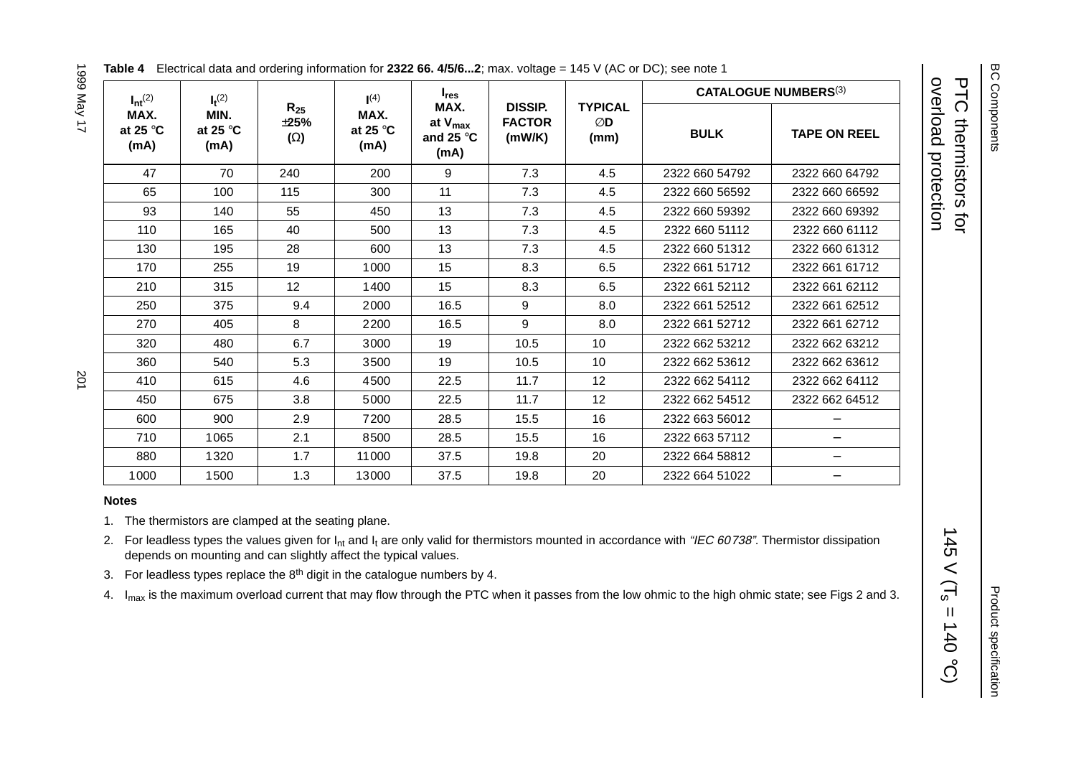| $I_{nt}^{(2)}$                    | $I_t^{(2)}$                       |                                      | (4)                               | $I_{res}$                                          |                                           |                              | <b>CATALOGUE NUMBERS(3)</b> |                     |  |
|-----------------------------------|-----------------------------------|--------------------------------------|-----------------------------------|----------------------------------------------------|-------------------------------------------|------------------------------|-----------------------------|---------------------|--|
| MAX.<br>at 25 $\degree$ C<br>(mA) | MIN.<br>at 25 $\degree$ C<br>(mA) | $R_{25}$<br>$\pm 25\%$<br>$(\Omega)$ | MAX.<br>at 25 $\degree$ C<br>(mA) | MAX.<br>at $V_{max}$<br>and 25 $\degree$ C<br>(mA) | <b>DISSIP.</b><br><b>FACTOR</b><br>(mW/K) | <b>TYPICAL</b><br>ØD<br>(mm) | <b>BULK</b>                 | <b>TAPE ON REEL</b> |  |
| 47                                | 70                                | 240                                  | 200                               | 9                                                  | 7.3                                       | 4.5                          | 2322 660 54792              | 2322 660 64792      |  |
| 65                                | 100                               | 115                                  | 300                               | 11                                                 | 7.3                                       | 4.5                          | 2322 660 56592              | 2322 660 66592      |  |
| 93                                | 140                               | 55                                   | 450                               | 13                                                 | 7.3                                       | 4.5                          | 2322 660 59392              | 2322 660 69392      |  |
| 110                               | 165                               | 40                                   | 500                               | 13                                                 | 7.3                                       | 4.5                          | 2322 660 51112              | 2322 660 61112      |  |
| 130                               | 195                               | 28                                   | 600                               | 13                                                 | 7.3                                       | 4.5                          | 2322 660 51312              | 2322 660 61312      |  |
| 170                               | 255                               | 19                                   | 1000                              | 15                                                 | 8.3                                       | 6.5                          | 2322 661 51712              | 2322 661 61712      |  |
| 210                               | 315                               | 12                                   | 1400                              | 15                                                 | 8.3                                       | 6.5                          | 2322 661 52112              | 2322 661 62112      |  |
| 250                               | 375                               | 9.4                                  | 2000                              | 16.5                                               | 9                                         | 8.0                          | 2322 661 52512              | 2322 661 62512      |  |
| 270                               | 405                               | 8                                    | 2200                              | 16.5                                               | 9                                         | 8.0                          | 2322 661 52712              | 2322 661 62712      |  |
| 320                               | 480                               | 6.7                                  | 3000                              | 19                                                 | 10.5                                      | 10                           | 2322 662 53212              | 2322 662 63212      |  |
| 360                               | 540                               | 5.3                                  | 3500                              | 19                                                 | 10.5                                      | 10                           | 2322 662 53612              | 2322 662 63612      |  |
| 410                               | 615                               | 4.6                                  | 4500                              | 22.5                                               | 11.7                                      | 12                           | 2322 662 54112              | 2322 662 64112      |  |
| 450                               | 675                               | 3.8                                  | 5000                              | 22.5                                               | 11.7                                      | 12                           | 2322 662 54512              | 2322 662 64512      |  |
| 600                               | 900                               | 2.9                                  | 7200                              | 28.5                                               | 15.5                                      | 16                           | 2322 663 56012              |                     |  |
| 710                               | 1065                              | 2.1                                  | 8500                              | 28.5                                               | 15.5                                      | 16                           | 2322 663 57112              | $\qquad \qquad -$   |  |
| 880                               | 1320                              | 1.7                                  | 11000                             | 37.5                                               | 19.8                                      | 20                           | 2322 664 58812              | $\qquad \qquad -$   |  |
| 1000                              | 1500                              | 1.3                                  | 13000                             | 37.5                                               | 19.8                                      | 20                           | 2322 664 51022              |                     |  |

#### **Table 4** Electrical data and ordering information for **2322 66. 4/5/6...2**; max. voltage <sup>=</sup> 145 V (AC or DC); see note 1

# 1999 May 17 1999 May 17 201

#### **Notes**

1. The thermistors are clamped at the seating plane.

2. For leadless types the values given for  $I_{nt}$  and  $I_t$  are only valid for thermistors mounted in accordance with "IEC 60738". Thermistor dissipation depends on mounting and can slightly affect the typical values.

3. For leadless types replace the  $8<sup>th</sup>$  digit in the catalogue numbers by 4.

4. I<sub>max</sub> is the maximum overload current that may flow through the PTC when it passes from the low ohmic to the high ohmic state; see Figs 2 and 3.

overload protection PTC thermistors for

overload protection **PTC thermistors for** 

 $145 \text{ V}$  (T<sub>s</sub> = 140

 $145$ 

 $\,<$  $\overline{\Pi_{\rm s}}$ 

 $(5.01) =$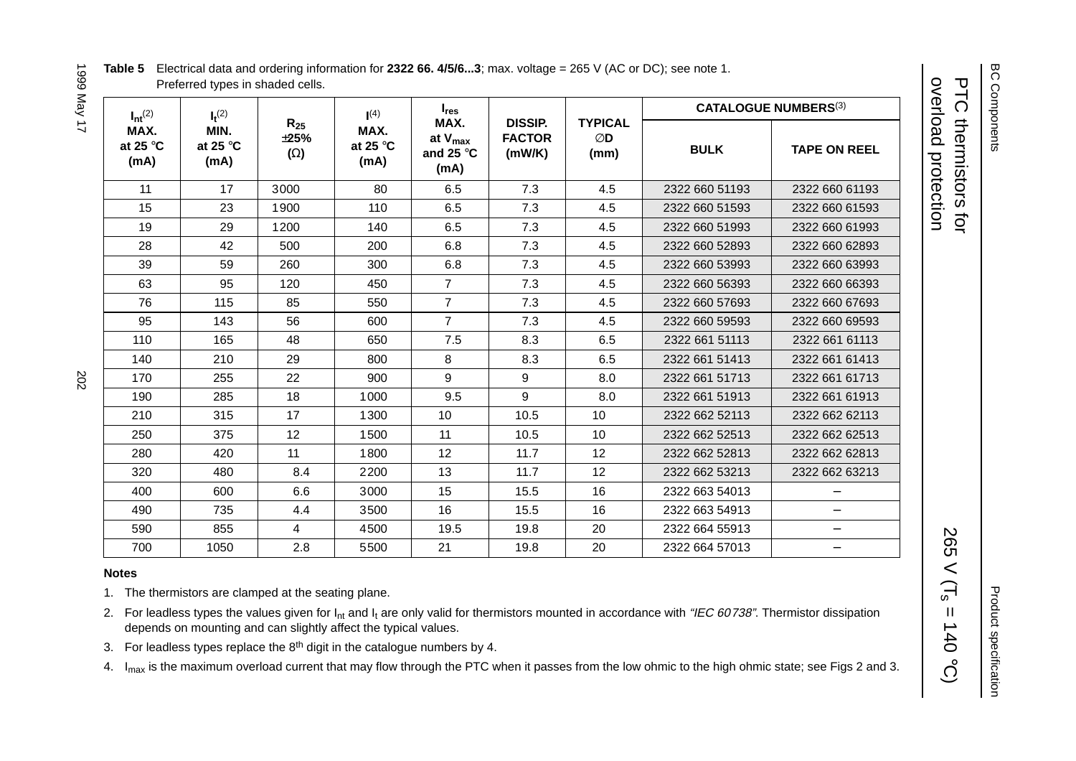| Table 5 Electrical data and ordering information for 2322 66. 4/5/63; max. voltage = 265 V (AC or DC); see note 1. |
|--------------------------------------------------------------------------------------------------------------------|
| Preferred types in shaded cells.                                                                                   |

| I YEIVI GGG I<br>: |  |
|--------------------|--|
| I                  |  |
|                    |  |
|                    |  |
|                    |  |
| トヘア                |  |

| $I_{nt}^{(2)}$                    | $I_{res}$<br>(4)<br>$I_t^{(2)}$   |                                     |                                   |                                                    | <b>CATALOGUE NUMBERS(3)</b>               |                              |                |                          |
|-----------------------------------|-----------------------------------|-------------------------------------|-----------------------------------|----------------------------------------------------|-------------------------------------------|------------------------------|----------------|--------------------------|
| MAX.<br>at 25 $\degree$ C<br>(mA) | MIN.<br>at 25 $\degree$ C<br>(mA) | $R_{25}$<br>$\pm 25%$<br>$(\Omega)$ | MAX.<br>at 25 $\degree$ C<br>(mA) | MAX.<br>at $V_{max}$<br>and 25 $\degree$ C<br>(mA) | <b>DISSIP.</b><br><b>FACTOR</b><br>(mW/K) | <b>TYPICAL</b><br>ØD<br>(mm) | <b>BULK</b>    | <b>TAPE ON REEL</b>      |
| 11                                | 17                                | 3000                                | 80                                | 6.5                                                | 7.3                                       | 4.5                          | 2322 660 51193 | 2322 660 61193           |
| 15                                | 23                                | 1900                                | 110                               | 6.5                                                | 7.3                                       | 4.5                          | 2322 660 51593 | 2322 660 61593           |
| 19                                | 29                                | 1200                                | 140                               | 6.5                                                | 7.3                                       | 4.5                          | 2322 660 51993 | 2322 660 61993           |
| 28                                | 42                                | 500                                 | 200                               | 6.8                                                | 7.3                                       | 4.5                          | 2322 660 52893 | 2322 660 62893           |
| 39                                | 59                                | 260                                 | 300                               | 6.8                                                | 7.3                                       | 4.5                          | 2322 660 53993 | 2322 660 63993           |
| 63                                | 95                                | 120                                 | 450                               | $\overline{7}$                                     | 7.3                                       | 4.5                          | 2322 660 56393 | 2322 660 66393           |
| 76                                | 115                               | 85                                  | 550                               | $\overline{7}$                                     | 7.3                                       | 4.5                          | 2322 660 57693 | 2322 660 67693           |
| 95                                | 143                               | 56                                  | 600                               | $\overline{7}$                                     | 7.3                                       | 4.5                          | 2322 660 59593 | 2322 660 69593           |
| 110                               | 165                               | 48                                  | 650                               | 7.5                                                | 8.3                                       | 6.5                          | 2322 661 51113 | 2322 661 61113           |
| 140                               | 210                               | 29                                  | 800                               | 8                                                  | 8.3                                       | 6.5                          | 2322 661 51413 | 2322 661 61413           |
| 170                               | 255                               | 22                                  | 900                               | 9                                                  | 9                                         | 8.0                          | 2322 661 51713 | 2322 661 61713           |
| 190                               | 285                               | 18                                  | 1000                              | 9.5                                                | 9                                         | 8.0                          | 2322 661 51913 | 2322 661 61913           |
| 210                               | 315                               | 17                                  | 1300                              | 10 <sup>°</sup>                                    | 10.5                                      | 10 <sup>°</sup>              | 2322 662 52113 | 2322 662 62113           |
| 250                               | 375                               | 12                                  | 1500                              | 11                                                 | 10.5                                      | 10 <sup>°</sup>              | 2322 662 52513 | 2322 662 62513           |
| 280                               | 420                               | 11                                  | 1800                              | 12                                                 | 11.7                                      | 12                           | 2322 662 52813 | 2322 662 62813           |
| 320                               | 480                               | 8.4                                 | 2200                              | 13                                                 | 11.7                                      | 12                           | 2322 662 53213 | 2322 662 63213           |
| 400                               | 600                               | 6.6                                 | 3000                              | 15                                                 | 15.5                                      | 16                           | 2322 663 54013 | $\overline{\phantom{m}}$ |
| 490                               | 735                               | 4.4                                 | 3500                              | 16                                                 | 15.5                                      | 16                           | 2322 663 54913 | $\qquad \qquad -$        |
| 590                               | 855                               | $\overline{4}$                      | 4500                              | 19.5                                               | 19.8                                      | 20                           | 2322 664 55913 | $\qquad \qquad -$        |
| 700                               | 1050                              | 2.8                                 | 5500                              | 21                                                 | 19.8                                      | 20                           | 2322 664 57013 | $\qquad \qquad -$        |

#### **Notes**

1. The thermistors are clamped at the seating plane.

- 2. For leadless types the values given for  $I_{nt}$  and  $I_t$  are only valid for thermistors mounted in accordance with "IEC 60738". Thermistor dissipation depends on mounting and can slightly affect the typical values.
- 3. For leadless types replace the  $8<sup>th</sup>$  digit in the catalogue numbers by 4.

4. I<sub>max</sub> is the maximum overload current that may flow through the PTC when it passes from the low ohmic to the high ohmic state; see Figs 2 and 3.

overload protection PTC thermistors for

overload protection **PTC thermistors for** 

 $265 \text{ V}$  (T<sub>s</sub> = 140

 $\ensuremath{\mathsf{II}}$ 

**265** 

 $\lt$  $\boxed{\text{L}}$ 

 $(5.0 + 1)$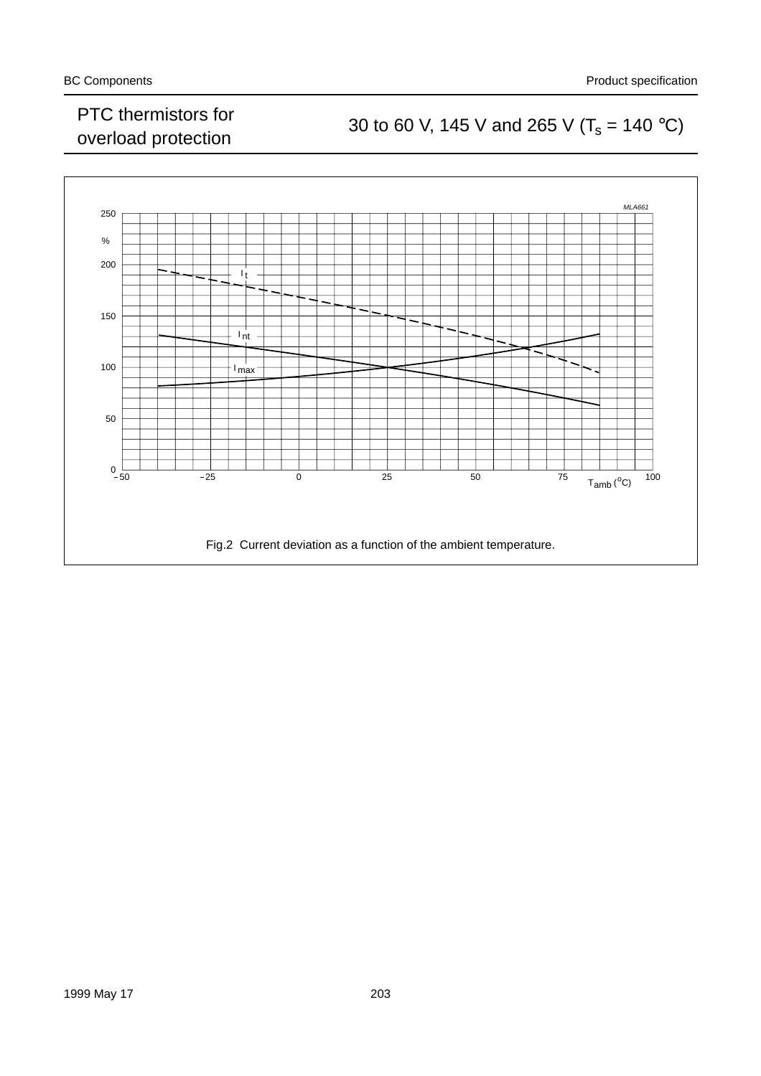### PTC mermistors for<br>
30 to 60 V, 145 V and 265 V ( $T_s = 140 \degree C$ )<br>
30 to 60 V, 145 V and 265 V ( $T_s = 140 \degree C$ )

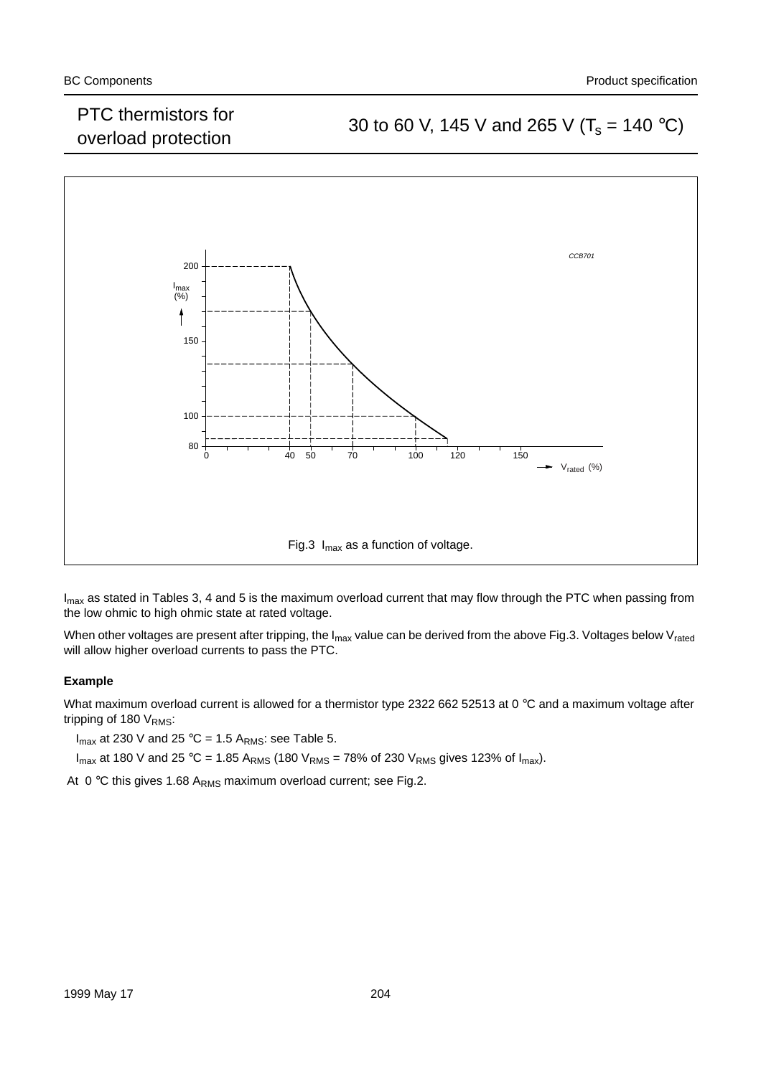### overload protection 30 to 60 V, 145 V and 265 V ( $T_s$  = 140 °C)



 $I_{\text{max}}$  as stated in Tables 3, 4 and 5 is the maximum overload current that may flow through the PTC when passing from the low ohmic to high ohmic state at rated voltage.

When other voltages are present after tripping, the  $I_{max}$  value can be derived from the above Fig.3. Voltages below V<sub>rated</sub> will allow higher overload currents to pass the PTC.

#### **Example**

What maximum overload current is allowed for a thermistor type 2322 662 52513 at 0 °C and a maximum voltage after tripping of 180 V<sub>RMS</sub>:

 $I_{max}$  at 230 V and 25 °C = 1.5 A<sub>RMS</sub>: see Table 5.

 $I_{max}$  at 180 V and 25 °C = 1.85 A<sub>RMS</sub> (180 V<sub>RMS</sub> = 78% of 230 V<sub>RMS</sub> gives 123% of  $I_{max}$ ).

At  $0^{\circ}$ C this gives 1.68 A<sub>RMS</sub> maximum overload current; see Fig.2.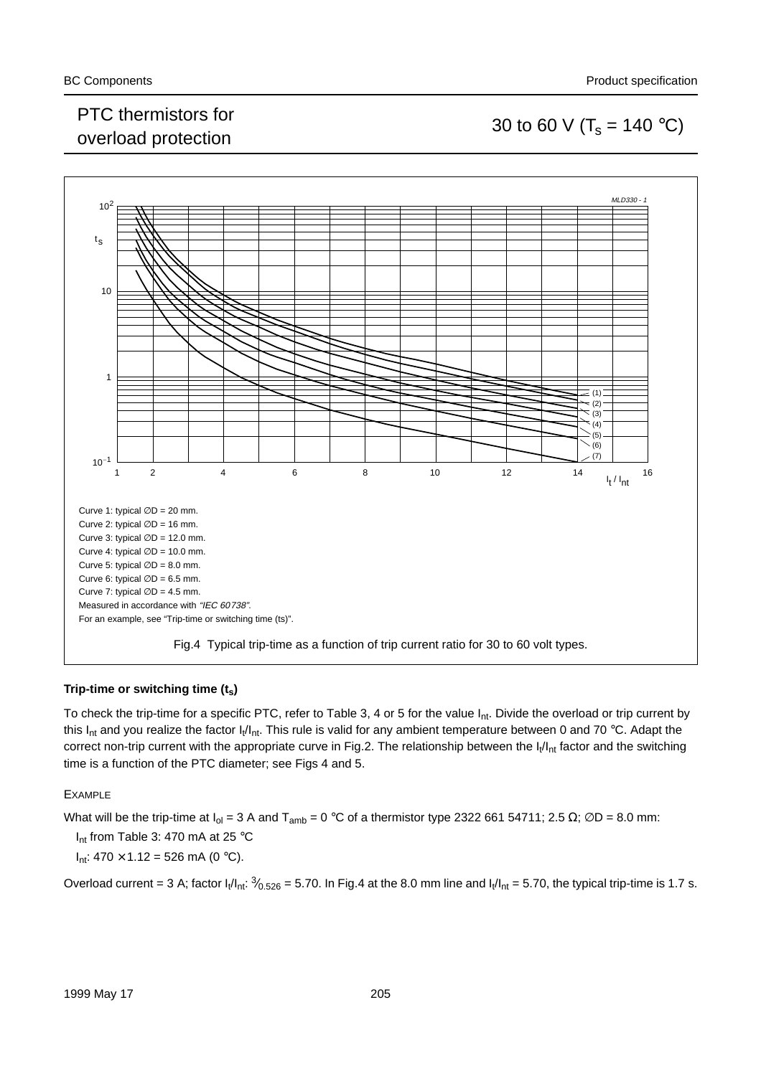### PTC thermistors for  $\sim$  0. The mission structure overload protection 30 to 60 V (T<sub>s</sub> = 140 °C)



#### **Trip-time or switching time (ts)**

To check the trip-time for a specific PTC, refer to Table 3, 4 or 5 for the value I<sub>nt</sub>. Divide the overload or trip current by this  $I_{nt}$  and you realize the factor  $I_t/I_{nt}$ . This rule is valid for any ambient temperature between 0 and 70 °C. Adapt the correct non-trip current with the appropriate curve in Fig.2. The relationship between the  $I_1/I_{nt}$  factor and the switching time is a function of the PTC diameter; see Figs 4 and 5.

#### EXAMPLE

What will be the trip-time at  $I_0 = 3$  A and  $T_{amb} = 0$  °C of a thermistor type 2322 661 54711; 2.5 Ω; ∅D = 8.0 mm:

I<sub>nt</sub> from Table 3: 470 mA at 25 °C

 $I_{nt}$ : 470 × 1.12 = 526 mA (0 °C).

Overload current = 3 A; factor  $I_1/I_{nt}$ :  $\frac{3}{6.526}$  = 5.70. In Fig.4 at the 8.0 mm line and  $I_1/I_{nt}$  = 5.70, the typical trip-time is 1.7 s.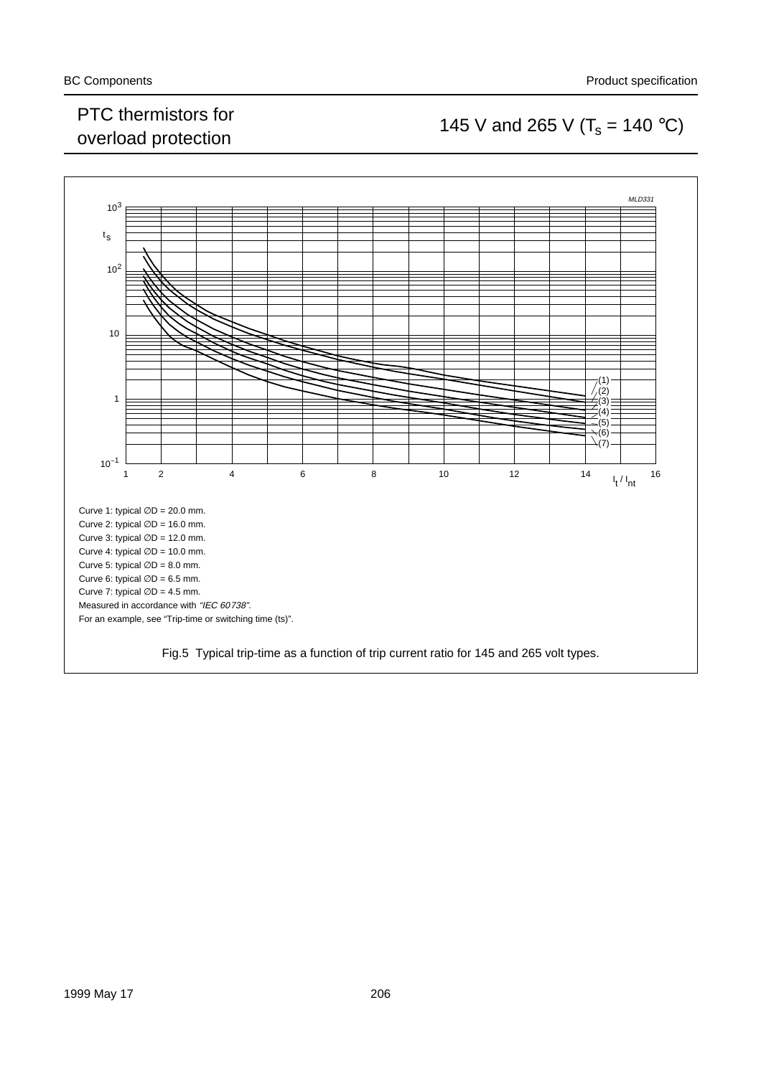### PTC mermistors for<br>overload protection 145 V and 265 V ( $T_s$  = 140 °C)

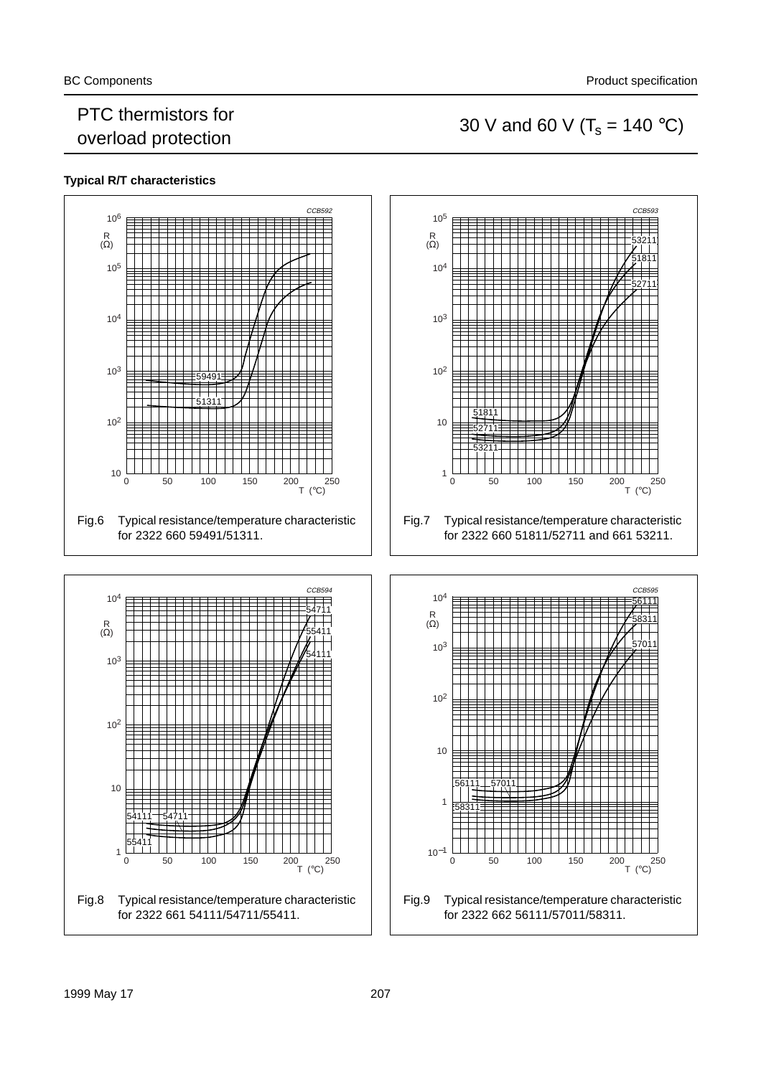### PTC thermistors for PTC mermistors for<br>overload protection 30 V and 60 V ( $T_s$  = 140 °C)

#### **Typical R/T characteristics**

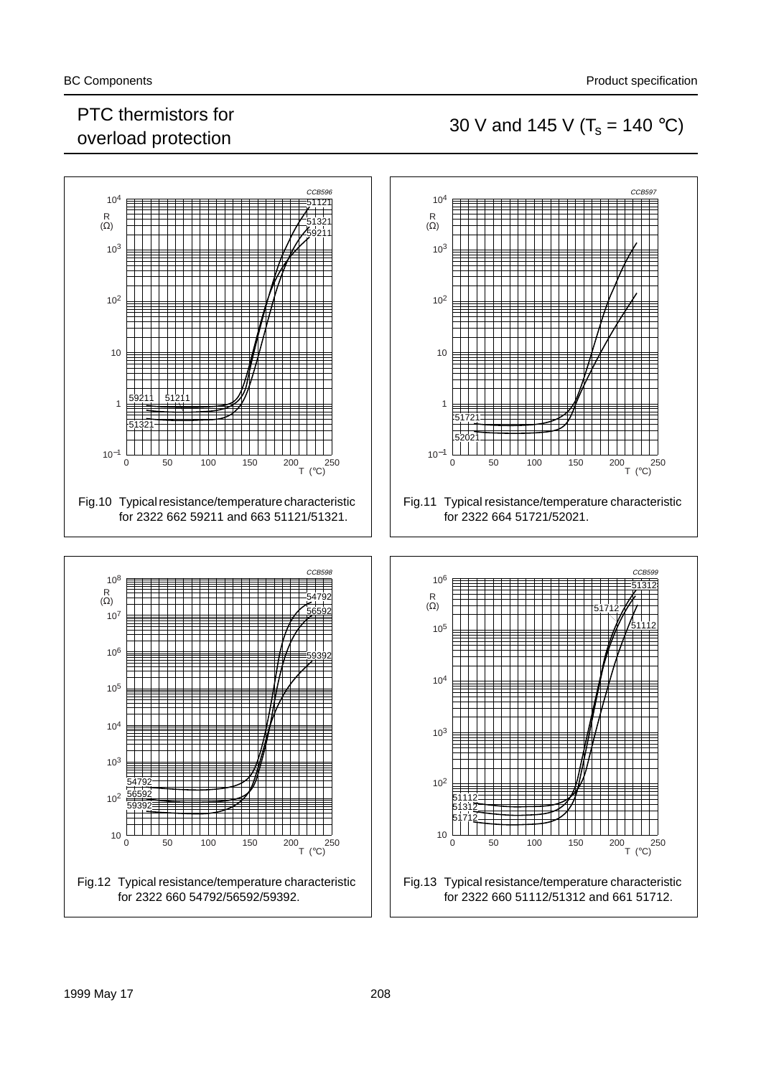### PTC thermistors for PTC mermistors for<br>overload protection 30 V and 145 V ( $T_s = 140 °C$ )

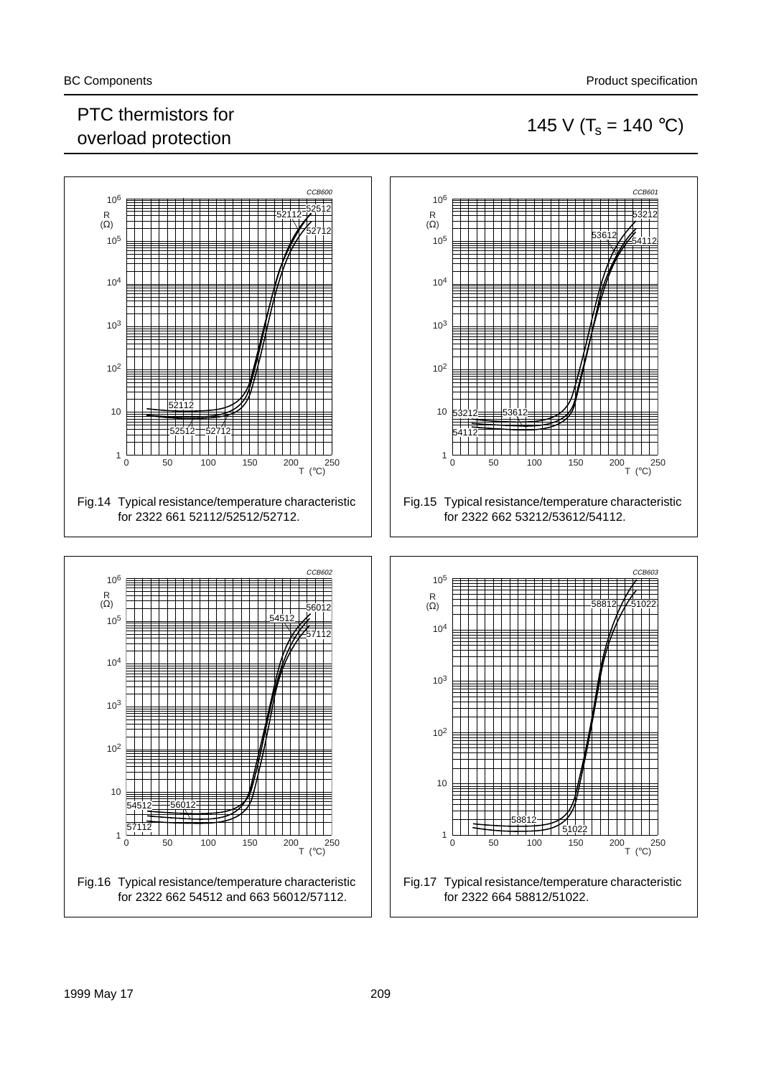### PTC thermistors for PTC thermistors for<br>overload protection 145 V ( $T_s = 140 °C$ )



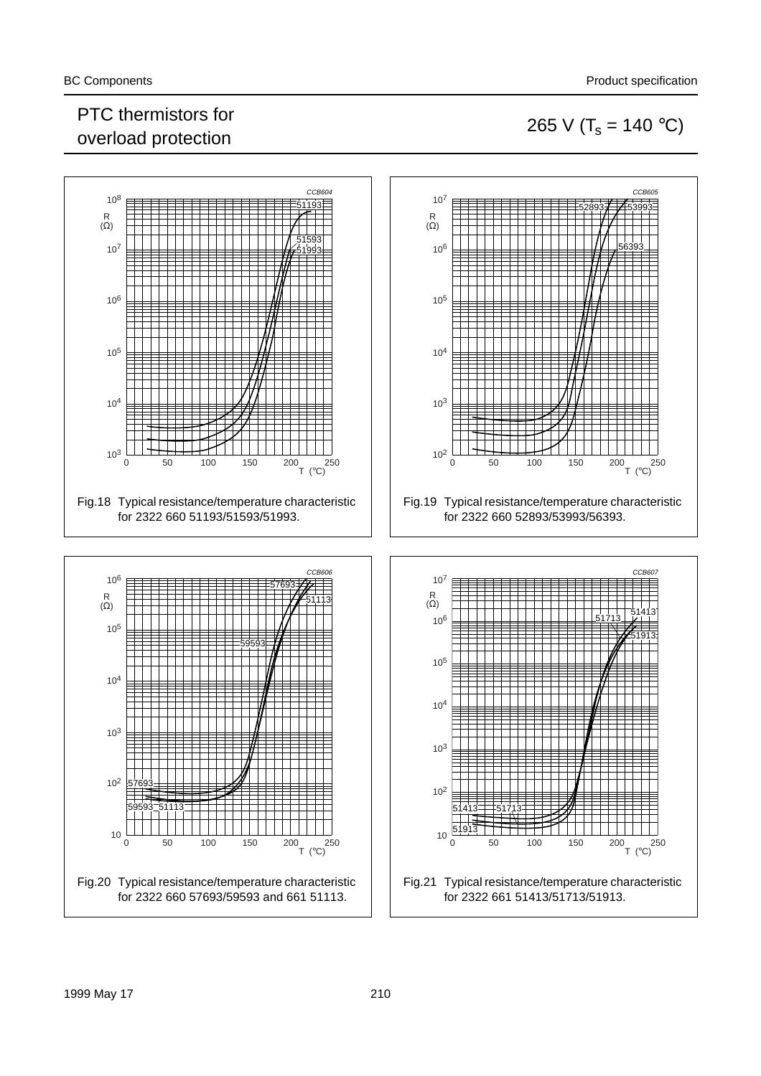### PTC thermistors for PTC thermistors for<br>overload protection 265 V ( $T_s = 140 °C$ )

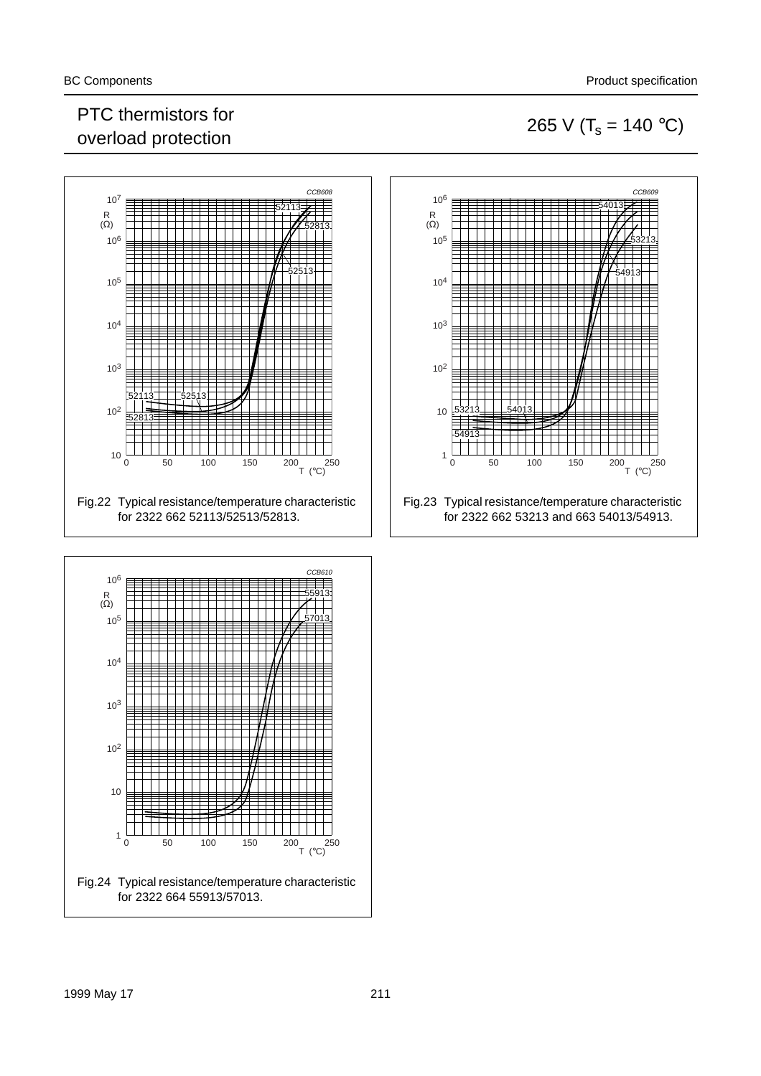### PTC thermistors for PTC thermistors for<br>overload protection 265 V ( $T_s = 140 °C$ )





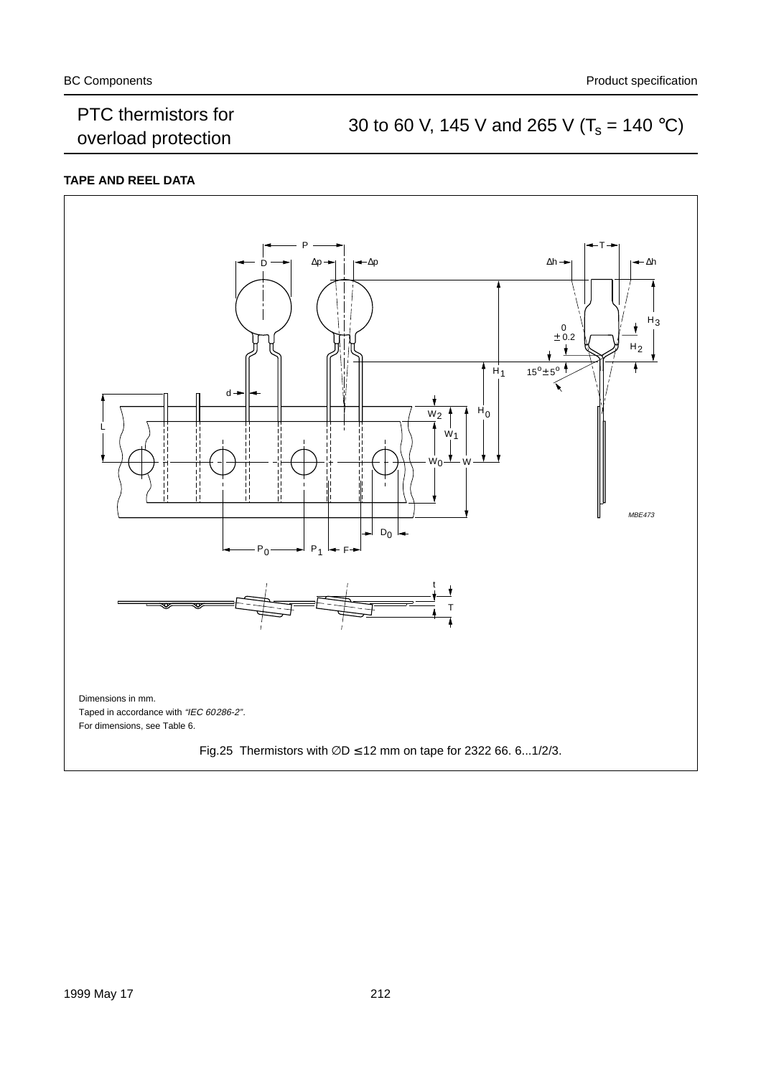### PTC thermistors for<br>
30 to 60 V, 145 V and 265 V ( $T_s = 140 \degree C$ )<br>
30 to 60 V, 145 V and 265 V ( $T_s = 140 \degree C$ )

#### **TAPE AND REEL DATA**

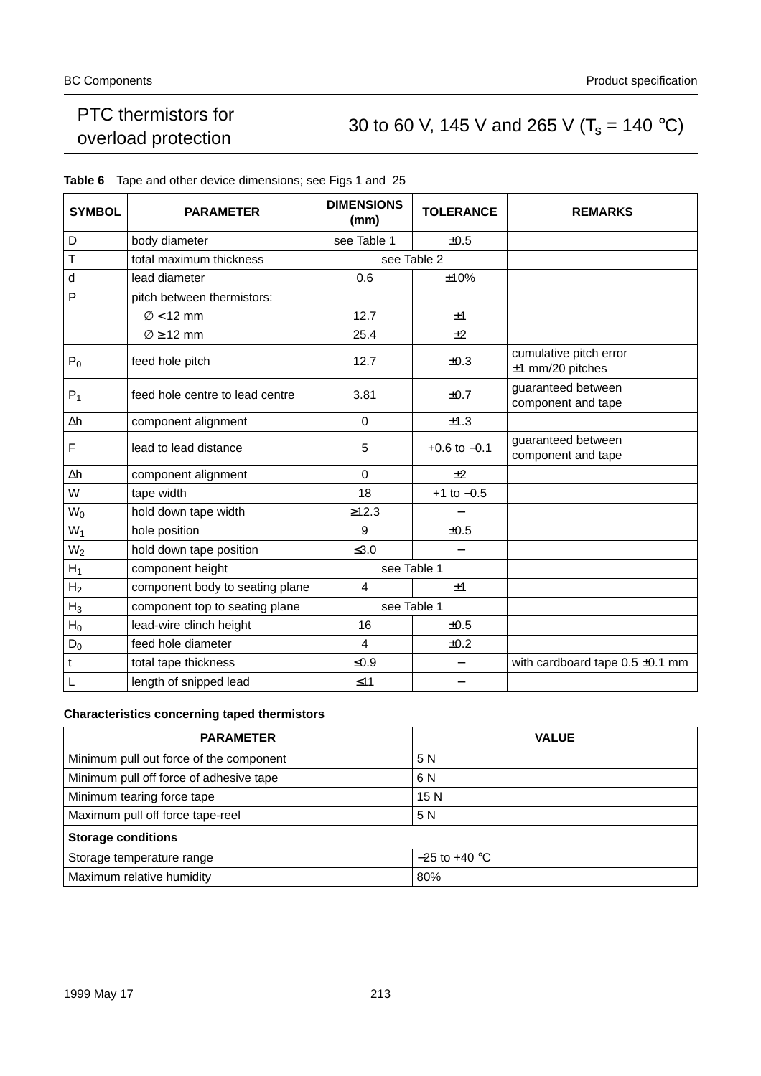### PTC thermistors for<br>
30 to 60 V, 145 V and 265 V ( $T_s = 140 \degree C$ )<br>
30 to 60 V, 145 V and 265 V ( $T_s = 140 \degree C$ )

| <b>SYMBOL</b>  | <b>PARAMETER</b>                | <b>DIMENSIONS</b><br>(mm) | <b>TOLERANCE</b> | <b>REMARKS</b>                               |
|----------------|---------------------------------|---------------------------|------------------|----------------------------------------------|
| D              | body diameter                   | see Table 1               | ±0.5             |                                              |
| Т              | total maximum thickness         |                           | see Table 2      |                                              |
| d              | lead diameter                   | 0.6                       | ±10%             |                                              |
| P              | pitch between thermistors:      |                           |                  |                                              |
|                | $\varnothing$ < 12 mm           | 12.7                      | ±1               |                                              |
|                | $\varnothing$ > 12 mm           | 25.4                      | $+2$             |                                              |
| $P_0$          | feed hole pitch                 | 12.7                      | $\pm 0.3$        | cumulative pitch error<br>$±1$ mm/20 pitches |
| $P_1$          | feed hole centre to lead centre | 3.81                      | ±0.7             | guaranteed between<br>component and tape     |
| Δh             | component alignment             | $\Omega$                  | ±1.3             |                                              |
| F              | lead to lead distance           | 5                         | $+0.6$ to $-0.1$ | guaranteed between<br>component and tape     |
| Δh             | component alignment             | $\Omega$                  | ±2               |                                              |
| W              | tape width                      | 18                        | $+1$ to $-0.5$   |                                              |
| $W_0$          | hold down tape width            | ≥12.3                     |                  |                                              |
| $W_1$          | hole position                   | 9                         | ±0.5             |                                              |
| $W_2$          | hold down tape position         | $\leq 3.0$                |                  |                                              |
| $H_1$          | component height                | see Table 1               |                  |                                              |
| H <sub>2</sub> | component body to seating plane | $\overline{\mathcal{A}}$  | ±1               |                                              |
| $H_3$          | component top to seating plane  | see Table 1               |                  |                                              |
| $H_0$          | lead-wire clinch height         | 16                        | ±0.5             |                                              |
| $D_0$          | feed hole diameter              | $\overline{\mathbf{4}}$   | ±0.2             |                                              |
| $\mathbf t$    | total tape thickness            | $≤0.9$                    |                  | with cardboard tape $0.5 \pm 0.1$ mm         |
| $\mathsf L$    | length of snipped lead          | $\leq 11$                 |                  |                                              |

#### **Table 6** Tape and other device dimensions; see Figs 1 and 25

#### **Characteristics concerning taped thermistors**

| <b>PARAMETER</b>                        | <b>VALUE</b>    |
|-----------------------------------------|-----------------|
| Minimum pull out force of the component | 5 N             |
| Minimum pull off force of adhesive tape | 6 N             |
| Minimum tearing force tape              | 15 <sub>N</sub> |
| Maximum pull off force tape-reel        | 5 N             |
| <b>Storage conditions</b>               |                 |
| Storage temperature range               | $-25$ to +40 °C |
| Maximum relative humidity               | 80%             |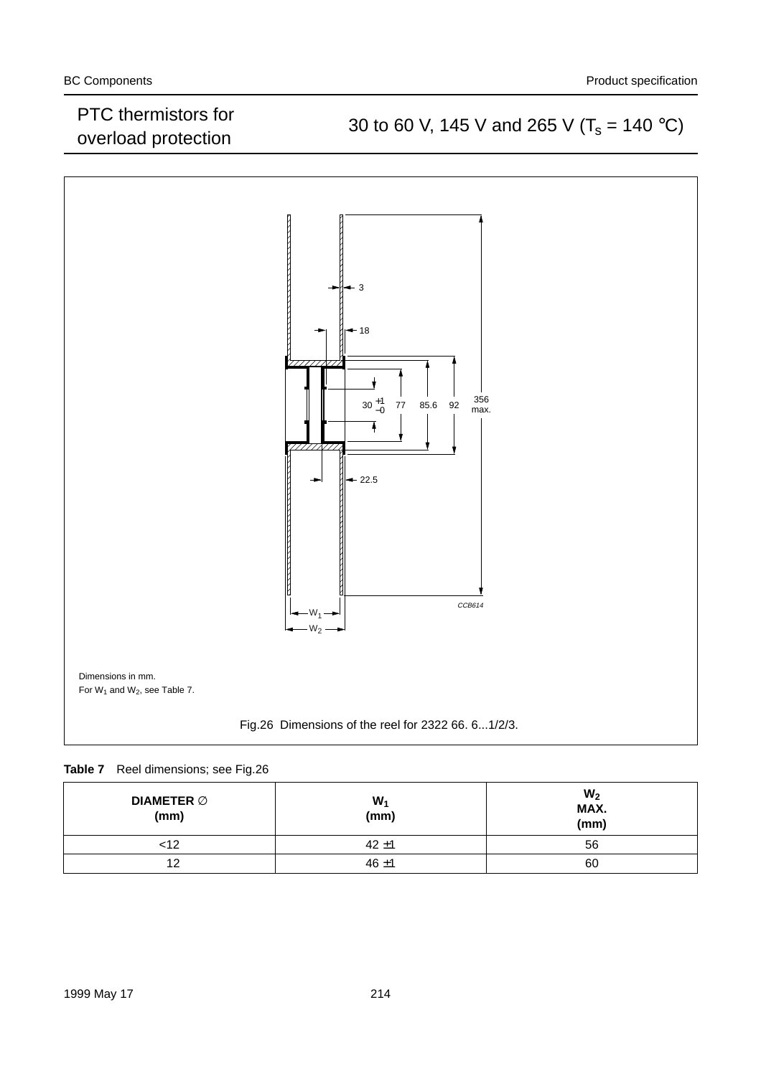### PTC mermistors for<br>
30 to 60 V, 145 V and 265 V ( $T_s = 140 \degree C$ )<br>
30 to 60 V, 145 V and 265 V ( $T_s = 140 \degree C$ )



#### **Table 7** Reel dimensions; see Fig.26

| DIAMETER $\varnothing$<br>(mm) | $W_1$<br>(mm) | W <sub>2</sub><br>MAX.<br>(mm) |
|--------------------------------|---------------|--------------------------------|
| <12                            | $42 + 1$      | 56                             |
| 12                             | $46 + 1$      | 60                             |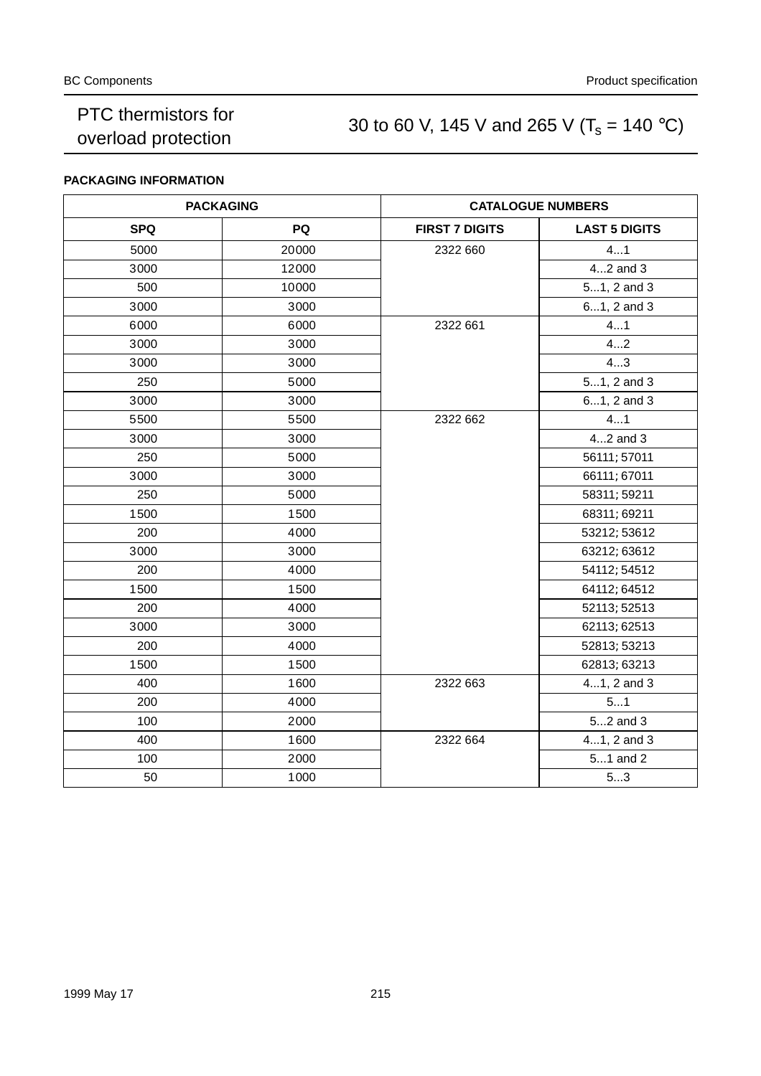### PTC thermistors for<br>
30 to 60 V, 145 V and 265 V ( $T_s = 140 °C$ )<br>
30 to 60 V, 145 V and 265 V ( $T_s = 140 °C$ )

#### **PACKAGING INFORMATION**

|            | <b>PACKAGING</b> | <b>CATALOGUE NUMBERS</b> |                      |  |
|------------|------------------|--------------------------|----------------------|--|
| <b>SPQ</b> | PQ               | <b>FIRST 7 DIGITS</b>    | <b>LAST 5 DIGITS</b> |  |
| 5000       | 20000            | 2322 660                 | 41                   |  |
| 3000       | 12000            |                          | 42 and 3             |  |
| 500        | 10000            |                          | 51, 2 and 3          |  |
| 3000       | 3000             |                          | 61, 2 and 3          |  |
| 6000       | 6000             | 2322 661                 | 41                   |  |
| 3000       | 3000             |                          | 42                   |  |
| 3000       | 3000             |                          | 43                   |  |
| 250        | 5000             |                          | 51, 2 and 3          |  |
| 3000       | 3000             |                          | 61, 2 and 3          |  |
| 5500       | 5500             | 2322 662                 | 41                   |  |
| 3000       | 3000             |                          | 42 and 3             |  |
| 250        | 5000             |                          | 56111; 57011         |  |
| 3000       | 3000             |                          | 66111; 67011         |  |
| 250        | 5000             |                          | 58311; 59211         |  |
| 1500       | 1500             |                          | 68311; 69211         |  |
| 200        | 4000             |                          | 53212; 53612         |  |
| 3000       | 3000             |                          | 63212; 63612         |  |
| 200        | 4000             |                          | 54112; 54512         |  |
| 1500       | 1500             |                          | 64112; 64512         |  |
| 200        | 4000             |                          | 52113; 52513         |  |
| 3000       | 3000             |                          | 62113; 62513         |  |
| 200        | 4000             |                          | 52813; 53213         |  |
| 1500       | 1500             |                          | 62813; 63213         |  |
| 400        | 1600             | 2322 663                 | 41, 2 and 3          |  |
| 200        | 4000             |                          | 51                   |  |
| 100        | 2000             |                          | 52 and 3             |  |
| 400        | 1600             | 2322 664                 | 41, 2 and 3          |  |
| 100        | 2000             |                          | 51 and 2             |  |
| 50         | 1000             |                          | 53                   |  |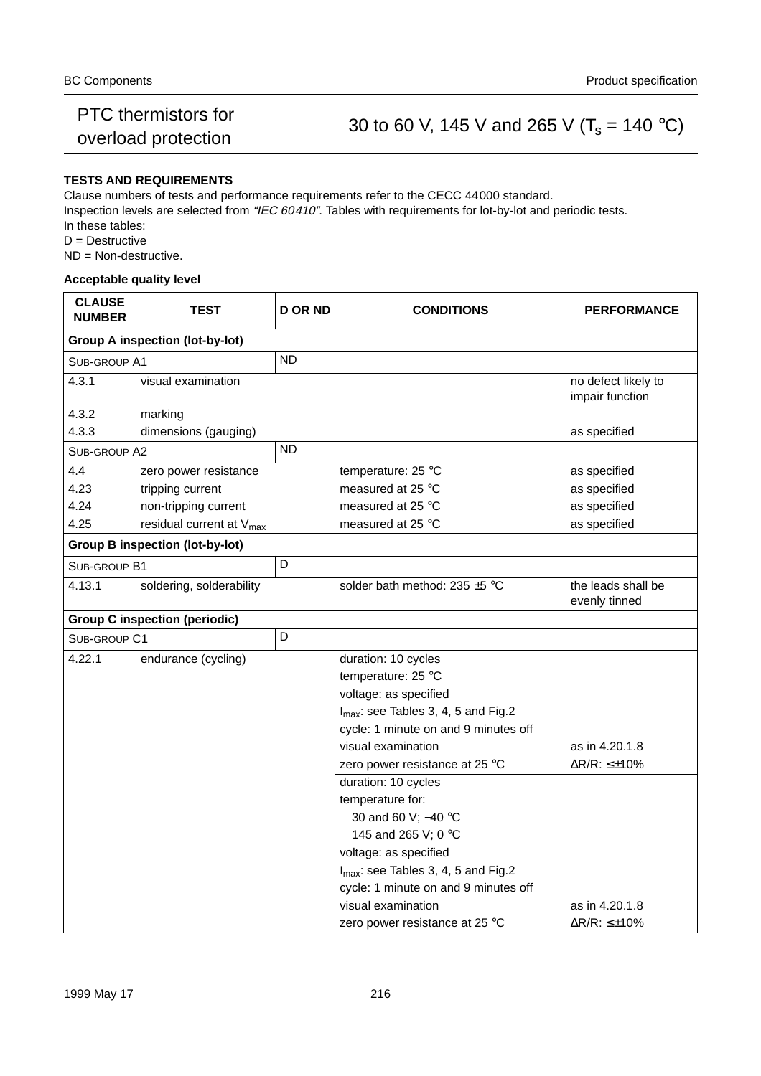### PTC mermistors for<br>
30 to 60 V, 145 V and 265 V ( $T_s$  = 140 °C)<br>
30 to 60 V, 145 V and 265 V ( $T_s$  = 140 °C)

#### **TESTS AND REQUIREMENTS**

Clause numbers of tests and performance requirements refer to the CECC 44000 standard.

Inspection levels are selected from "IEC 60410". Tables with requirements for lot-by-lot and periodic tests. In these tables:

D = Destructive

ND = Non-destructive.

#### **Acceptable quality level**

| <b>CLAUSE</b><br><b>NUMBER</b> | <b>TEST</b>                            | <b>D OR ND</b> | <b>CONDITIONS</b>                               | <b>PERFORMANCE</b>                     |  |  |  |  |  |
|--------------------------------|----------------------------------------|----------------|-------------------------------------------------|----------------------------------------|--|--|--|--|--|
|                                | <b>Group A inspection (lot-by-lot)</b> |                |                                                 |                                        |  |  |  |  |  |
| SUB-GROUP A1                   |                                        | <b>ND</b>      |                                                 |                                        |  |  |  |  |  |
| 4.3.1                          | visual examination                     |                |                                                 | no defect likely to<br>impair function |  |  |  |  |  |
| 4.3.2                          | marking                                |                |                                                 |                                        |  |  |  |  |  |
| 4.3.3                          | dimensions (gauging)                   |                |                                                 | as specified                           |  |  |  |  |  |
| SUB-GROUP A2                   |                                        | <b>ND</b>      |                                                 |                                        |  |  |  |  |  |
| 4.4                            | zero power resistance                  |                | temperature: 25 °C                              | as specified                           |  |  |  |  |  |
| 4.23                           | tripping current                       |                | measured at 25 °C                               | as specified                           |  |  |  |  |  |
| 4.24                           | non-tripping current                   |                | measured at 25 °C                               | as specified                           |  |  |  |  |  |
| 4.25                           | residual current at V <sub>max</sub>   |                | measured at 25 °C                               | as specified                           |  |  |  |  |  |
|                                | <b>Group B inspection (lot-by-lot)</b> |                |                                                 |                                        |  |  |  |  |  |
| SUB-GROUP B1                   |                                        | D              |                                                 |                                        |  |  |  |  |  |
| 4.13.1                         | soldering, solderability               |                | solder bath method: 235 ±5 °C                   | the leads shall be<br>evenly tinned    |  |  |  |  |  |
|                                | <b>Group C inspection (periodic)</b>   |                |                                                 |                                        |  |  |  |  |  |
| SUB-GROUP C1                   |                                        | D              |                                                 |                                        |  |  |  |  |  |
| 4.22.1                         | endurance (cycling)                    |                | duration: 10 cycles                             |                                        |  |  |  |  |  |
|                                |                                        |                | temperature: 25 °C                              |                                        |  |  |  |  |  |
|                                |                                        |                | voltage: as specified                           |                                        |  |  |  |  |  |
|                                |                                        |                | $I_{\text{max}}$ : see Tables 3, 4, 5 and Fig.2 |                                        |  |  |  |  |  |
|                                |                                        |                | cycle: 1 minute on and 9 minutes off            |                                        |  |  |  |  |  |
|                                |                                        |                | visual examination                              | as in 4.20.1.8                         |  |  |  |  |  |
|                                |                                        |                | zero power resistance at 25 °C                  | ∆R/R: ≤±10%                            |  |  |  |  |  |
|                                |                                        |                | duration: 10 cycles                             |                                        |  |  |  |  |  |
|                                |                                        |                | temperature for:                                |                                        |  |  |  |  |  |
|                                |                                        |                | 30 and 60 V; -40 °C                             |                                        |  |  |  |  |  |
|                                |                                        |                | 145 and 265 V; 0 °C                             |                                        |  |  |  |  |  |
|                                |                                        |                | voltage: as specified                           |                                        |  |  |  |  |  |
|                                |                                        |                | I <sub>max</sub> : see Tables 3, 4, 5 and Fig.2 |                                        |  |  |  |  |  |
|                                |                                        |                | cycle: 1 minute on and 9 minutes off            |                                        |  |  |  |  |  |
|                                |                                        |                | visual examination                              | as in 4.20.1.8                         |  |  |  |  |  |
|                                |                                        |                | zero power resistance at 25 °C                  | $\Delta$ R/R: $\leq \pm 10\%$          |  |  |  |  |  |